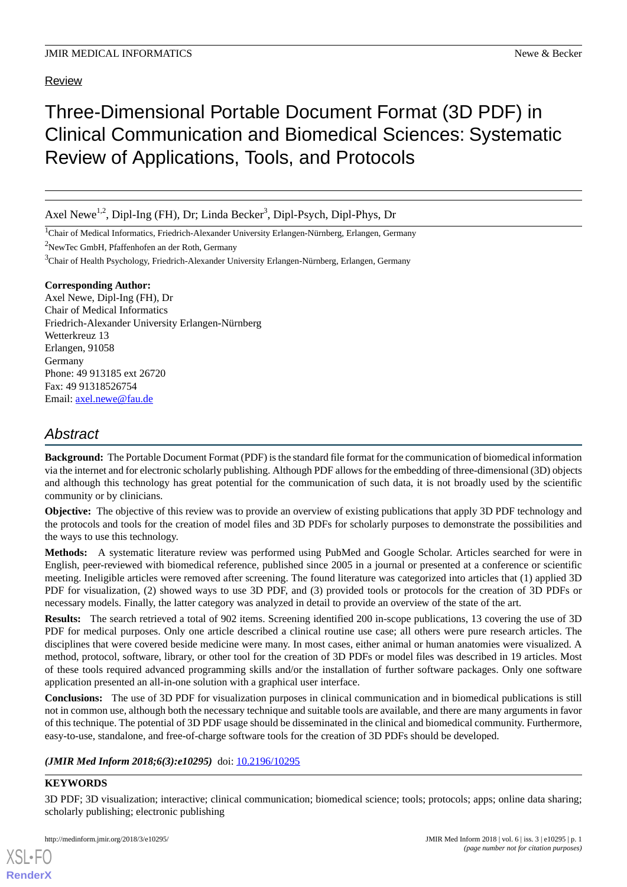#### Review

# Three-Dimensional Portable Document Format (3D PDF) in Clinical Communication and Biomedical Sciences: Systematic Review of Applications, Tools, and Protocols

Axel Newe<sup>1,2</sup>, Dipl-Ing (FH), Dr; Linda Becker<sup>3</sup>, Dipl-Psych, Dipl-Phys, Dr

<sup>1</sup>Chair of Medical Informatics, Friedrich-Alexander University Erlangen-Nürnberg, Erlangen, Germany

<sup>2</sup>NewTec GmbH, Pfaffenhofen an der Roth, Germany

<sup>3</sup>Chair of Health Psychology, Friedrich-Alexander University Erlangen-Nürnberg, Erlangen, Germany

#### **Corresponding Author:**

Axel Newe, Dipl-Ing (FH), Dr Chair of Medical Informatics Friedrich-Alexander University Erlangen-Nürnberg Wetterkreuz 13 Erlangen, 91058 Germany Phone: 49 913185 ext 26720 Fax: 49 91318526754 Email: [axel.newe@fau.de](mailto:axel.newe@fau.de)

## *Abstract*

**Background:** The Portable Document Format (PDF) is the standard file format for the communication of biomedical information via the internet and for electronic scholarly publishing. Although PDF allows for the embedding of three-dimensional (3D) objects and although this technology has great potential for the communication of such data, it is not broadly used by the scientific community or by clinicians.

**Objective:** The objective of this review was to provide an overview of existing publications that apply 3D PDF technology and the protocols and tools for the creation of model files and 3D PDFs for scholarly purposes to demonstrate the possibilities and the ways to use this technology.

**Methods:** A systematic literature review was performed using PubMed and Google Scholar. Articles searched for were in English, peer-reviewed with biomedical reference, published since 2005 in a journal or presented at a conference or scientific meeting. Ineligible articles were removed after screening. The found literature was categorized into articles that (1) applied 3D PDF for visualization, (2) showed ways to use 3D PDF, and (3) provided tools or protocols for the creation of 3D PDFs or necessary models. Finally, the latter category was analyzed in detail to provide an overview of the state of the art.

**Results:** The search retrieved a total of 902 items. Screening identified 200 in-scope publications, 13 covering the use of 3D PDF for medical purposes. Only one article described a clinical routine use case; all others were pure research articles. The disciplines that were covered beside medicine were many. In most cases, either animal or human anatomies were visualized. A method, protocol, software, library, or other tool for the creation of 3D PDFs or model files was described in 19 articles. Most of these tools required advanced programming skills and/or the installation of further software packages. Only one software application presented an all-in-one solution with a graphical user interface.

**Conclusions:** The use of 3D PDF for visualization purposes in clinical communication and in biomedical publications is still not in common use, although both the necessary technique and suitable tools are available, and there are many arguments in favor of this technique. The potential of 3D PDF usage should be disseminated in the clinical and biomedical community. Furthermore, easy-to-use, standalone, and free-of-charge software tools for the creation of 3D PDFs should be developed.

#### (JMIR Med Inform 2018;6(3):e10295) doi: [10.2196/10295](http://dx.doi.org/10.2196/10295)

#### **KEYWORDS**

[XSL](http://www.w3.org/Style/XSL)•FO **[RenderX](http://www.renderx.com/)**

3D PDF; 3D visualization; interactive; clinical communication; biomedical science; tools; protocols; apps; online data sharing; scholarly publishing; electronic publishing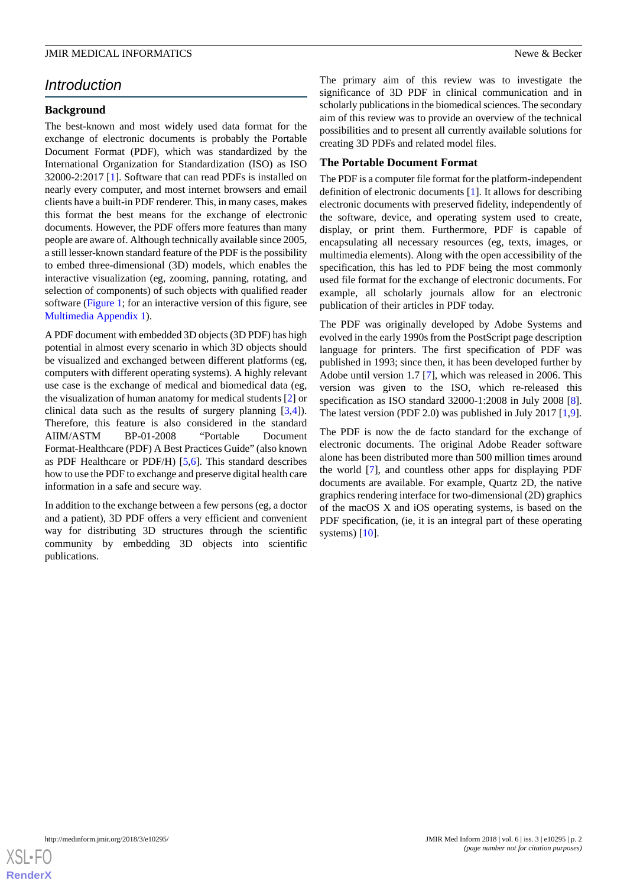## *Introduction*

#### **Background**

The best-known and most widely used data format for the exchange of electronic documents is probably the Portable Document Format (PDF), which was standardized by the International Organization for Standardization (ISO) as ISO 32000-2:2017 [[1\]](#page-12-0). Software that can read PDFs is installed on nearly every computer, and most internet browsers and email clients have a built-in PDF renderer. This, in many cases, makes this format the best means for the exchange of electronic documents. However, the PDF offers more features than many people are aware of. Although technically available since 2005, a still lesser-known standard feature of the PDF is the possibility to embed three-dimensional (3D) models, which enables the interactive visualization (eg, zooming, panning, rotating, and selection of components) of such objects with qualified reader software [\(Figure 1](#page-2-0); for an interactive version of this figure, see [Multimedia Appendix 1\)](#page-11-0).

A PDF document with embedded 3D objects (3D PDF) has high potential in almost every scenario in which 3D objects should be visualized and exchanged between different platforms (eg, computers with different operating systems). A highly relevant use case is the exchange of medical and biomedical data (eg, the visualization of human anatomy for medical students [[2\]](#page-12-1) or clinical data such as the results of surgery planning [[3,](#page-12-2)[4](#page-12-3)]). Therefore, this feature is also considered in the standard AIIM/ASTM BP-01-2008 "Portable Document Format-Healthcare (PDF) A Best Practices Guide" (also known as PDF Healthcare or PDF/H) [[5,](#page-12-4)[6](#page-12-5)]. This standard describes how to use the PDF to exchange and preserve digital health care information in a safe and secure way.

In addition to the exchange between a few persons (eg, a doctor and a patient), 3D PDF offers a very efficient and convenient way for distributing 3D structures through the scientific community by embedding 3D objects into scientific publications.

The primary aim of this review was to investigate the significance of 3D PDF in clinical communication and in scholarly publications in the biomedical sciences. The secondary aim of this review was to provide an overview of the technical possibilities and to present all currently available solutions for creating 3D PDFs and related model files.

#### **The Portable Document Format**

The PDF is a computer file format for the platform-independent definition of electronic documents [[1\]](#page-12-0). It allows for describing electronic documents with preserved fidelity, independently of the software, device, and operating system used to create, display, or print them. Furthermore, PDF is capable of encapsulating all necessary resources (eg, texts, images, or multimedia elements). Along with the open accessibility of the specification, this has led to PDF being the most commonly used file format for the exchange of electronic documents. For example, all scholarly journals allow for an electronic publication of their articles in PDF today.

The PDF was originally developed by Adobe Systems and evolved in the early 1990s from the PostScript page description language for printers. The first specification of PDF was published in 1993; since then, it has been developed further by Adobe until version 1.7 [[7\]](#page-12-6), which was released in 2006. This version was given to the ISO, which re-released this specification as ISO standard 32000-1:2008 in July 2008 [[8\]](#page-12-7). The latest version (PDF 2.0) was published in July 2017 [\[1](#page-12-0),[9\]](#page-12-8).

The PDF is now the de facto standard for the exchange of electronic documents. The original Adobe Reader software alone has been distributed more than 500 million times around the world [[7\]](#page-12-6), and countless other apps for displaying PDF documents are available. For example, Quartz 2D, the native graphics rendering interface for two-dimensional (2D) graphics of the macOS X and iOS operating systems, is based on the PDF specification, (ie, it is an integral part of these operating systems) [\[10](#page-12-9)].

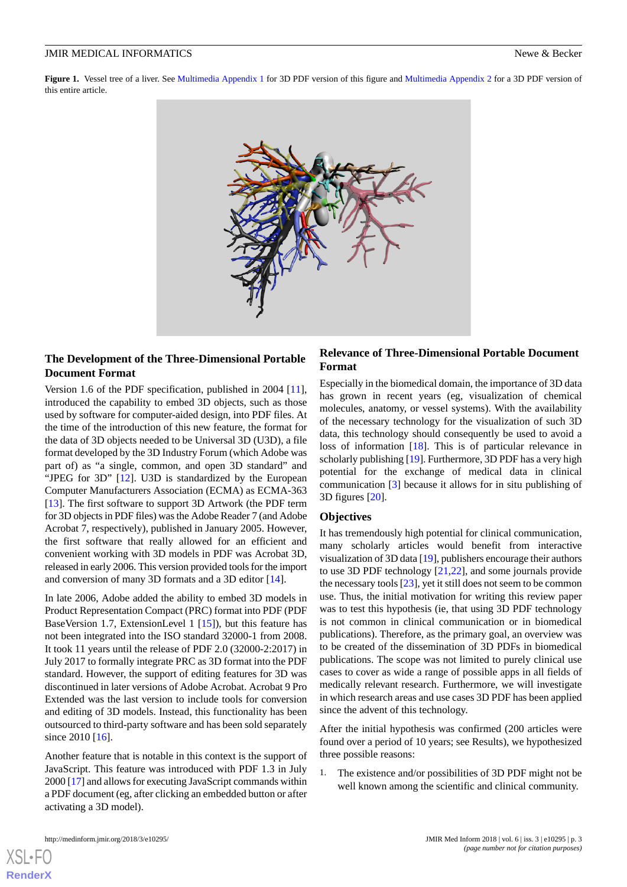<span id="page-2-0"></span>**Figure 1.** Vessel tree of a liver. See [Multimedia Appendix 1](#page-11-0) for 3D PDF version of this figure and [Multimedia Appendix 2](#page-11-1) for a 3D PDF version of this entire article.



#### **The Development of the Three-Dimensional Portable Document Format**

Version 1.6 of the PDF specification, published in 2004 [[11\]](#page-12-10), introduced the capability to embed 3D objects, such as those used by software for computer-aided design, into PDF files. At the time of the introduction of this new feature, the format for the data of 3D objects needed to be Universal 3D (U3D), a file format developed by the 3D Industry Forum (which Adobe was part of) as "a single, common, and open 3D standard" and "JPEG for 3D" [[12\]](#page-12-11). U3D is standardized by the European Computer Manufacturers Association (ECMA) as ECMA-363 [[13\]](#page-12-12). The first software to support 3D Artwork (the PDF term for 3D objects in PDF files) was the Adobe Reader 7 (and Adobe Acrobat 7, respectively), published in January 2005. However, the first software that really allowed for an efficient and convenient working with 3D models in PDF was Acrobat 3D, released in early 2006. This version provided tools for the import and conversion of many 3D formats and a 3D editor [\[14](#page-12-13)].

In late 2006, Adobe added the ability to embed 3D models in Product Representation Compact (PRC) format into PDF (PDF BaseVersion 1.7, ExtensionLevel 1 [\[15](#page-12-14)]), but this feature has not been integrated into the ISO standard 32000-1 from 2008. It took 11 years until the release of PDF 2.0 (32000-2:2017) in July 2017 to formally integrate PRC as 3D format into the PDF standard. However, the support of editing features for 3D was discontinued in later versions of Adobe Acrobat. Acrobat 9 Pro Extended was the last version to include tools for conversion and editing of 3D models. Instead, this functionality has been outsourced to third-party software and has been sold separately since 2010 [\[16](#page-12-15)].

Another feature that is notable in this context is the support of JavaScript. This feature was introduced with PDF 1.3 in July 2000 [\[17](#page-12-16)] and allows for executing JavaScript commands within a PDF document (eg, after clicking an embedded button or after activating a 3D model).

#### **Relevance of Three-Dimensional Portable Document Format**

Especially in the biomedical domain, the importance of 3D data has grown in recent years (eg, visualization of chemical molecules, anatomy, or vessel systems). With the availability of the necessary technology for the visualization of such 3D data, this technology should consequently be used to avoid a loss of information [\[18](#page-12-17)]. This is of particular relevance in scholarly publishing [[19\]](#page-12-18). Furthermore, 3D PDF has a very high potential for the exchange of medical data in clinical communication [\[3](#page-12-2)] because it allows for in situ publishing of 3D figures [[20\]](#page-12-19).

#### **Objectives**

It has tremendously high potential for clinical communication, many scholarly articles would benefit from interactive visualization of 3D data [[19](#page-12-18)], publishers encourage their authors to use 3D PDF technology [[21](#page-12-20)[,22](#page-12-21)], and some journals provide the necessary tools [\[23](#page-13-0)], yet it still does not seem to be common use. Thus, the initial motivation for writing this review paper was to test this hypothesis (ie, that using 3D PDF technology is not common in clinical communication or in biomedical publications). Therefore, as the primary goal, an overview was to be created of the dissemination of 3D PDFs in biomedical publications. The scope was not limited to purely clinical use cases to cover as wide a range of possible apps in all fields of medically relevant research. Furthermore, we will investigate in which research areas and use cases 3D PDF has been applied since the advent of this technology.

After the initial hypothesis was confirmed (200 articles were found over a period of 10 years; see Results), we hypothesized three possible reasons:

1. The existence and/or possibilities of 3D PDF might not be well known among the scientific and clinical community.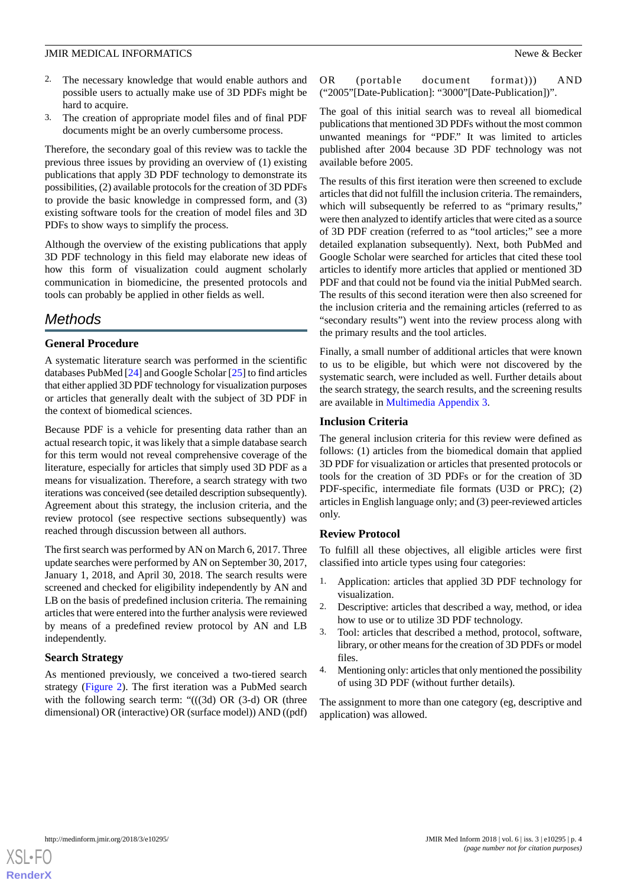- 2. The necessary knowledge that would enable authors and possible users to actually make use of 3D PDFs might be hard to acquire.
- 3. The creation of appropriate model files and of final PDF documents might be an overly cumbersome process.

Therefore, the secondary goal of this review was to tackle the previous three issues by providing an overview of (1) existing publications that apply 3D PDF technology to demonstrate its possibilities, (2) available protocols for the creation of 3D PDFs to provide the basic knowledge in compressed form, and (3) existing software tools for the creation of model files and 3D PDFs to show ways to simplify the process.

Although the overview of the existing publications that apply 3D PDF technology in this field may elaborate new ideas of how this form of visualization could augment scholarly communication in biomedicine, the presented protocols and tools can probably be applied in other fields as well.

## *Methods*

#### **General Procedure**

A systematic literature search was performed in the scientific databases PubMed [[24\]](#page-13-1) and Google Scholar [\[25](#page-13-2)] to find articles that either applied 3D PDF technology for visualization purposes or articles that generally dealt with the subject of 3D PDF in the context of biomedical sciences.

Because PDF is a vehicle for presenting data rather than an actual research topic, it was likely that a simple database search for this term would not reveal comprehensive coverage of the literature, especially for articles that simply used 3D PDF as a means for visualization. Therefore, a search strategy with two iterations was conceived (see detailed description subsequently). Agreement about this strategy, the inclusion criteria, and the review protocol (see respective sections subsequently) was reached through discussion between all authors.

The first search was performed by AN on March 6, 2017. Three update searches were performed by AN on September 30, 2017, January 1, 2018, and April 30, 2018. The search results were screened and checked for eligibility independently by AN and LB on the basis of predefined inclusion criteria. The remaining articles that were entered into the further analysis were reviewed by means of a predefined review protocol by AN and LB independently.

#### **Search Strategy**

As mentioned previously, we conceived a two-tiered search strategy [\(Figure 2\)](#page-4-0). The first iteration was a PubMed search with the following search term: " $(((3d) \text{ OR } (3-d) \text{ OR } (three$ dimensional) OR (interactive) OR (surface model)) AND ((pdf) OR (portable document format))) AND ("2005"[Date-Publication]: "3000"[Date-Publication])".

The goal of this initial search was to reveal all biomedical publications that mentioned 3D PDFs without the most common unwanted meanings for "PDF." It was limited to articles published after 2004 because 3D PDF technology was not available before 2005.

The results of this first iteration were then screened to exclude articles that did not fulfill the inclusion criteria. The remainders, which will subsequently be referred to as "primary results," were then analyzed to identify articles that were cited as a source of 3D PDF creation (referred to as "tool articles;" see a more detailed explanation subsequently). Next, both PubMed and Google Scholar were searched for articles that cited these tool articles to identify more articles that applied or mentioned 3D PDF and that could not be found via the initial PubMed search. The results of this second iteration were then also screened for the inclusion criteria and the remaining articles (referred to as "secondary results") went into the review process along with the primary results and the tool articles.

Finally, a small number of additional articles that were known to us to be eligible, but which were not discovered by the systematic search, were included as well. Further details about the search strategy, the search results, and the screening results are available in [Multimedia Appendix 3.](#page-11-2)

#### **Inclusion Criteria**

The general inclusion criteria for this review were defined as follows: (1) articles from the biomedical domain that applied 3D PDF for visualization or articles that presented protocols or tools for the creation of 3D PDFs or for the creation of 3D PDF-specific, intermediate file formats (U3D or PRC); (2) articles in English language only; and (3) peer-reviewed articles only.

#### **Review Protocol**

To fulfill all these objectives, all eligible articles were first classified into article types using four categories:

- 1. Application: articles that applied 3D PDF technology for visualization.
- 2. Descriptive: articles that described a way, method, or idea how to use or to utilize 3D PDF technology.
- 3. Tool: articles that described a method, protocol, software, library, or other means for the creation of 3D PDFs or model files.
- 4. Mentioning only: articles that only mentioned the possibility of using 3D PDF (without further details).

The assignment to more than one category (eg, descriptive and application) was allowed.

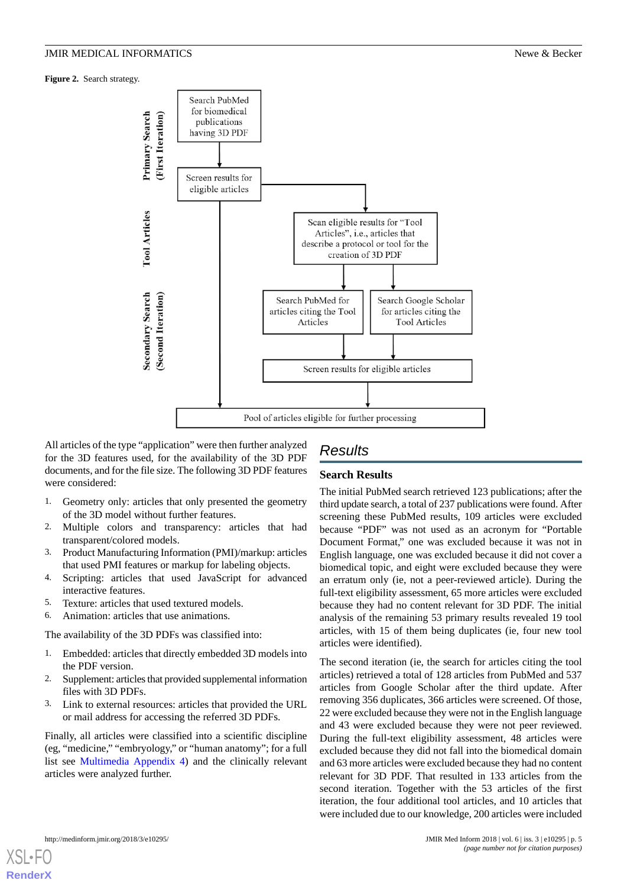<span id="page-4-0"></span>**Figure 2.** Search strategy.



All articles of the type "application" were then further analyzed for the 3D features used, for the availability of the 3D PDF documents, and for the file size. The following 3D PDF features were considered:

- 1. Geometry only: articles that only presented the geometry of the 3D model without further features.
- 2. Multiple colors and transparency: articles that had transparent/colored models.
- 3. Product Manufacturing Information (PMI)/markup: articles that used PMI features or markup for labeling objects.
- 4. Scripting: articles that used JavaScript for advanced interactive features.
- 5. Texture: articles that used textured models.
- 6. Animation: articles that use animations.

The availability of the 3D PDFs was classified into:

- 1. Embedded: articles that directly embedded 3D models into the PDF version.
- 2. Supplement: articles that provided supplemental information files with 3D PDFs.
- 3. Link to external resources: articles that provided the URL or mail address for accessing the referred 3D PDFs.

Finally, all articles were classified into a scientific discipline (eg, "medicine," "embryology," or "human anatomy"; for a full list see [Multimedia Appendix 4\)](#page-11-3) and the clinically relevant articles were analyzed further.

## *Results*

#### **Search Results**

The initial PubMed search retrieved 123 publications; after the third update search, a total of 237 publications were found. After screening these PubMed results, 109 articles were excluded because "PDF" was not used as an acronym for "Portable Document Format," one was excluded because it was not in English language, one was excluded because it did not cover a biomedical topic, and eight were excluded because they were an erratum only (ie, not a peer-reviewed article). During the full-text eligibility assessment, 65 more articles were excluded because they had no content relevant for 3D PDF. The initial analysis of the remaining 53 primary results revealed 19 tool articles, with 15 of them being duplicates (ie, four new tool articles were identified).

The second iteration (ie, the search for articles citing the tool articles) retrieved a total of 128 articles from PubMed and 537 articles from Google Scholar after the third update. After removing 356 duplicates, 366 articles were screened. Of those, 22 were excluded because they were not in the English language and 43 were excluded because they were not peer reviewed. During the full-text eligibility assessment, 48 articles were excluded because they did not fall into the biomedical domain and 63 more articles were excluded because they had no content relevant for 3D PDF. That resulted in 133 articles from the second iteration. Together with the 53 articles of the first iteration, the four additional tool articles, and 10 articles that were included due to our knowledge, 200 articles were included

```
http://medinform.jmir.org/2018/3/e10295/ JMIR Med Inform 2018 | vol. 6 | iss. 3 | e10295 | p. 5
```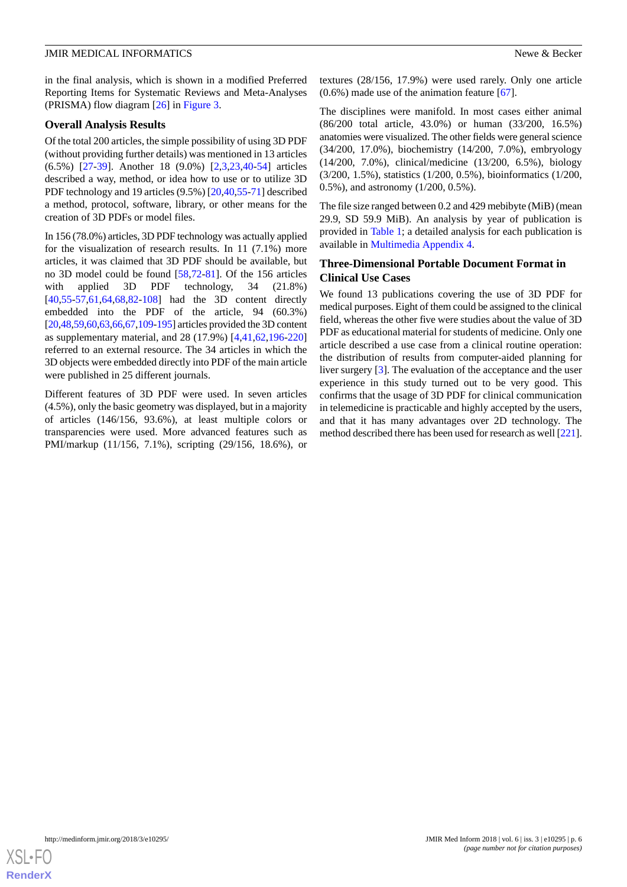in the final analysis, which is shown in a modified Preferred Reporting Items for Systematic Reviews and Meta-Analyses (PRISMA) flow diagram [\[26](#page-13-3)] in [Figure 3.](#page-6-0)

#### **Overall Analysis Results**

Of the total 200 articles, the simple possibility of using 3D PDF (without providing further details) was mentioned in 13 articles (6.5%) [[27-](#page-13-4)[39](#page-13-5)]. Another 18 (9.0%) [\[2](#page-12-1),[3,](#page-12-2)[23](#page-13-0),[40-](#page-13-6)[54](#page-14-0)] articles described a way, method, or idea how to use or to utilize 3D PDF technology and 19 articles (9.5%) [\[20](#page-12-19),[40,](#page-13-6)[55](#page-14-1)[-71](#page-14-2)] described a method, protocol, software, library, or other means for the creation of 3D PDFs or model files.

In 156 (78.0%) articles, 3D PDF technology was actually applied for the visualization of research results. In 11 (7.1%) more articles, it was claimed that 3D PDF should be available, but no 3D model could be found [\[58](#page-14-3),[72-](#page-14-4)[81](#page-15-0)]. Of the 156 articles with applied 3D PDF technology, 34 (21.8%) [[40](#page-13-6)[,55](#page-14-1)-[57,](#page-14-5)[61](#page-14-6),[64,](#page-14-7)[68](#page-14-8),[82-](#page-15-1)[108](#page-16-0)] had the 3D content directly embedded into the PDF of the article, 94 (60.3%) [[20,](#page-12-19)[48,](#page-13-7)[59](#page-14-9)[,60](#page-14-10)[,63](#page-14-11),[66](#page-14-12),[67,](#page-14-13)[109-](#page-16-1)[195\]](#page-20-0) articles provided the 3D content as supplementary material, and 28 (17.9%) [\[4,](#page-12-3)[41](#page-13-8)[,62](#page-14-14),[196](#page-20-1)[-220](#page-21-0)] referred to an external resource. The 34 articles in which the 3D objects were embedded directly into PDF of the main article were published in 25 different journals.

Different features of 3D PDF were used. In seven articles (4.5%), only the basic geometry was displayed, but in a majority of articles (146/156, 93.6%), at least multiple colors or transparencies were used. More advanced features such as PMI/markup (11/156, 7.1%), scripting (29/156, 18.6%), or

textures (28/156, 17.9%) were used rarely. Only one article (0.6%) made use of the animation feature [\[67](#page-14-13)].

The disciplines were manifold. In most cases either animal (86/200 total article, 43.0%) or human (33/200, 16.5%) anatomies were visualized. The other fields were general science (34/200, 17.0%), biochemistry (14/200, 7.0%), embryology (14/200, 7.0%), clinical/medicine (13/200, 6.5%), biology (3/200, 1.5%), statistics (1/200, 0.5%), bioinformatics (1/200, 0.5%), and astronomy (1/200, 0.5%).

The file size ranged between 0.2 and 429 mebibyte (MiB) (mean 29.9, SD 59.9 MiB). An analysis by year of publication is provided in [Table 1;](#page-6-1) a detailed analysis for each publication is available in [Multimedia Appendix 4](#page-11-3).

#### **Three-Dimensional Portable Document Format in Clinical Use Cases**

We found 13 publications covering the use of 3D PDF for medical purposes. Eight of them could be assigned to the clinical field, whereas the other five were studies about the value of 3D PDF as educational material for students of medicine. Only one article described a use case from a clinical routine operation: the distribution of results from computer-aided planning for liver surgery [\[3](#page-12-2)]. The evaluation of the acceptance and the user experience in this study turned out to be very good. This confirms that the usage of 3D PDF for clinical communication in telemedicine is practicable and highly accepted by the users, and that it has many advantages over 2D technology. The method described there has been used for research as well [\[221](#page-21-1)].

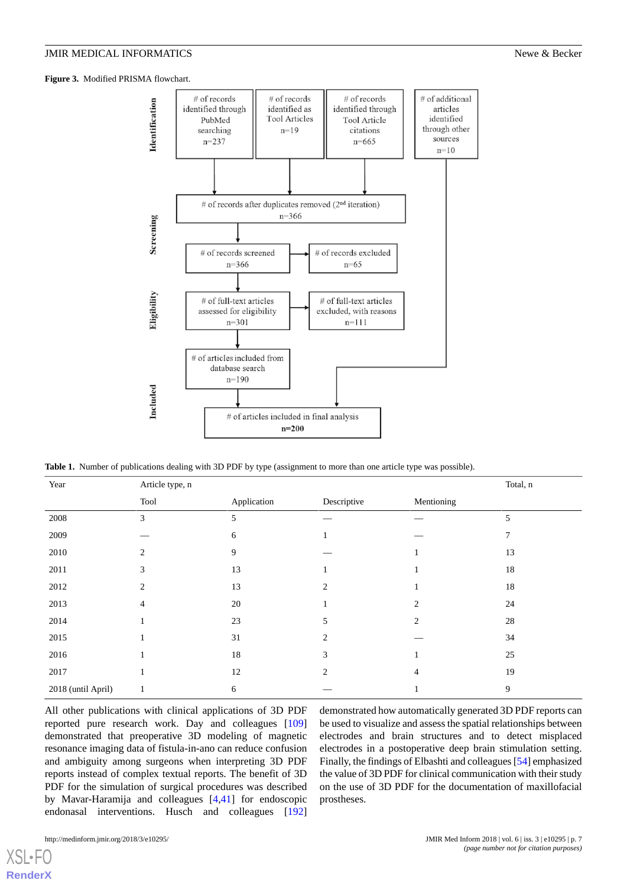<span id="page-6-0"></span>**Figure 3.** Modified PRISMA flowchart.



<span id="page-6-1"></span>**Table 1.** Number of publications dealing with 3D PDF by type (assignment to more than one article type was possible).

| Year               | Article type, n |             |                |                | Total, n |
|--------------------|-----------------|-------------|----------------|----------------|----------|
|                    | Tool            | Application | Descriptive    | Mentioning     |          |
| 2008               | 3               | 5           |                |                | 5        |
| 2009               |                 | 6           |                |                | 7        |
| 2010               | $\overline{c}$  | 9           |                | 1              | 13       |
| 2011               | 3               | 13          |                | 1              | 18       |
| 2012               | $\overline{2}$  | 13          | $\overline{2}$ |                | 18       |
| 2013               | 4               | 20          |                | $\mathfrak{D}$ | 24       |
| 2014               |                 | 23          | 5              | 2              | 28       |
| 2015               |                 | 31          | 2              |                | 34       |
| 2016               |                 | $18\,$      | 3              |                | 25       |
| 2017               |                 | 12          | $\overline{2}$ | 4              | 19       |
| 2018 (until April) | $\mathbf{1}$    | 6           |                |                | 9        |

All other publications with clinical applications of 3D PDF reported pure research work. Day and colleagues [\[109](#page-16-1)] demonstrated that preoperative 3D modeling of magnetic resonance imaging data of fistula-in-ano can reduce confusion and ambiguity among surgeons when interpreting 3D PDF reports instead of complex textual reports. The benefit of 3D PDF for the simulation of surgical procedures was described by Mavar-Haramija and colleagues [\[4](#page-12-3),[41\]](#page-13-8) for endoscopic endonasal interventions. Husch and colleagues [\[192](#page-20-2)]

demonstrated how automatically generated 3D PDF reports can be used to visualize and assess the spatial relationships between electrodes and brain structures and to detect misplaced electrodes in a postoperative deep brain stimulation setting. Finally, the findings of Elbashti and colleagues [\[54\]](#page-14-0) emphasized the value of 3D PDF for clinical communication with their study on the use of 3D PDF for the documentation of maxillofacial prostheses.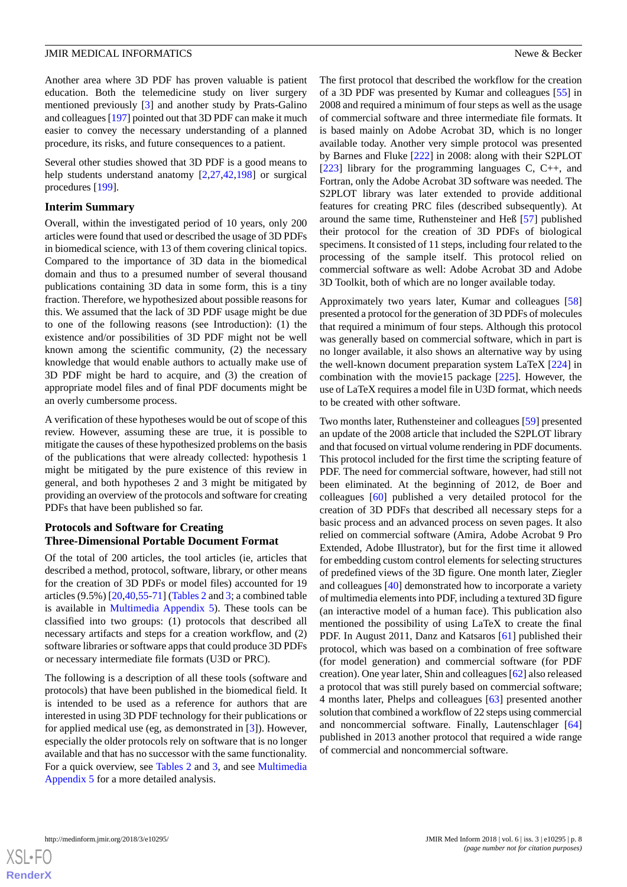Another area where 3D PDF has proven valuable is patient education. Both the telemedicine study on liver surgery mentioned previously [[3\]](#page-12-2) and another study by Prats-Galino and colleagues [[197\]](#page-20-3) pointed out that 3D PDF can make it much easier to convey the necessary understanding of a planned procedure, its risks, and future consequences to a patient.

Several other studies showed that 3D PDF is a good means to help students understand anatomy [\[2](#page-12-1),[27,](#page-13-4)[42](#page-13-9),[198\]](#page-20-4) or surgical procedures [\[199](#page-20-5)].

#### **Interim Summary**

Overall, within the investigated period of 10 years, only 200 articles were found that used or described the usage of 3D PDFs in biomedical science, with 13 of them covering clinical topics. Compared to the importance of 3D data in the biomedical domain and thus to a presumed number of several thousand publications containing 3D data in some form, this is a tiny fraction. Therefore, we hypothesized about possible reasons for this. We assumed that the lack of 3D PDF usage might be due to one of the following reasons (see Introduction): (1) the existence and/or possibilities of 3D PDF might not be well known among the scientific community, (2) the necessary knowledge that would enable authors to actually make use of 3D PDF might be hard to acquire, and (3) the creation of appropriate model files and of final PDF documents might be an overly cumbersome process.

A verification of these hypotheses would be out of scope of this review. However, assuming these are true, it is possible to mitigate the causes of these hypothesized problems on the basis of the publications that were already collected: hypothesis 1 might be mitigated by the pure existence of this review in general, and both hypotheses 2 and 3 might be mitigated by providing an overview of the protocols and software for creating PDFs that have been published so far.

#### **Protocols and Software for Creating Three-Dimensional Portable Document Format**

Of the total of 200 articles, the tool articles (ie, articles that described a method, protocol, software, library, or other means for the creation of 3D PDFs or model files) accounted for 19 articles (9.5%) [\[20](#page-12-19),[40,](#page-13-6)[55](#page-14-1)-[71\]](#page-14-2) [\(Tables 2](#page-8-0) and [3;](#page-9-0) a combined table is available in [Multimedia Appendix 5](#page-11-4)). These tools can be classified into two groups: (1) protocols that described all necessary artifacts and steps for a creation workflow, and (2) software libraries or software apps that could produce 3D PDFs or necessary intermediate file formats (U3D or PRC).

The following is a description of all these tools (software and protocols) that have been published in the biomedical field. It is intended to be used as a reference for authors that are interested in using 3D PDF technology for their publications or for applied medical use (eg, as demonstrated in [[3\]](#page-12-2)). However, especially the older protocols rely on software that is no longer available and that has no successor with the same functionality. For a quick overview, see [Tables 2](#page-8-0) and [3,](#page-9-0) and see [Multimedia](#page-11-4) [Appendix 5](#page-11-4) for a more detailed analysis.

The first protocol that described the workflow for the creation of a 3D PDF was presented by Kumar and colleagues [[55\]](#page-14-1) in 2008 and required a minimum of four steps as well as the usage of commercial software and three intermediate file formats. It is based mainly on Adobe Acrobat 3D, which is no longer available today. Another very simple protocol was presented by Barnes and Fluke [\[222](#page-21-2)] in 2008: along with their S2PLOT [[223\]](#page-21-3) library for the programming languages C, C++, and Fortran, only the Adobe Acrobat 3D software was needed. The S2PLOT library was later extended to provide additional features for creating PRC files (described subsequently). At around the same time, Ruthensteiner and Heß [\[57](#page-14-5)] published their protocol for the creation of 3D PDFs of biological specimens. It consisted of 11 steps, including four related to the processing of the sample itself. This protocol relied on commercial software as well: Adobe Acrobat 3D and Adobe 3D Toolkit, both of which are no longer available today.

Approximately two years later, Kumar and colleagues [\[58](#page-14-3)] presented a protocol for the generation of 3D PDFs of molecules that required a minimum of four steps. Although this protocol was generally based on commercial software, which in part is no longer available, it also shows an alternative way by using the well-known document preparation system LaTeX [[224\]](#page-21-4) in combination with the movie15 package [[225\]](#page-21-5). However, the use of LaTeX requires a model file in U3D format, which needs to be created with other software.

Two months later, Ruthensteiner and colleagues [[59\]](#page-14-9) presented an update of the 2008 article that included the S2PLOT library and that focused on virtual volume rendering in PDF documents. This protocol included for the first time the scripting feature of PDF. The need for commercial software, however, had still not been eliminated. At the beginning of 2012, de Boer and colleagues [\[60](#page-14-10)] published a very detailed protocol for the creation of 3D PDFs that described all necessary steps for a basic process and an advanced process on seven pages. It also relied on commercial software (Amira, Adobe Acrobat 9 Pro Extended, Adobe Illustrator), but for the first time it allowed for embedding custom control elements for selecting structures of predefined views of the 3D figure. One month later, Ziegler and colleagues [\[40](#page-13-6)] demonstrated how to incorporate a variety of multimedia elements into PDF, including a textured 3D figure (an interactive model of a human face). This publication also mentioned the possibility of using LaTeX to create the final PDF. In August 2011, Danz and Katsaros [[61\]](#page-14-6) published their protocol, which was based on a combination of free software (for model generation) and commercial software (for PDF creation). One year later, Shin and colleagues [[62\]](#page-14-14) also released a protocol that was still purely based on commercial software; 4 months later, Phelps and colleagues [\[63](#page-14-11)] presented another solution that combined a workflow of 22 steps using commercial and noncommercial software. Finally, Lautenschlager [\[64](#page-14-7)] published in 2013 another protocol that required a wide range of commercial and noncommercial software.

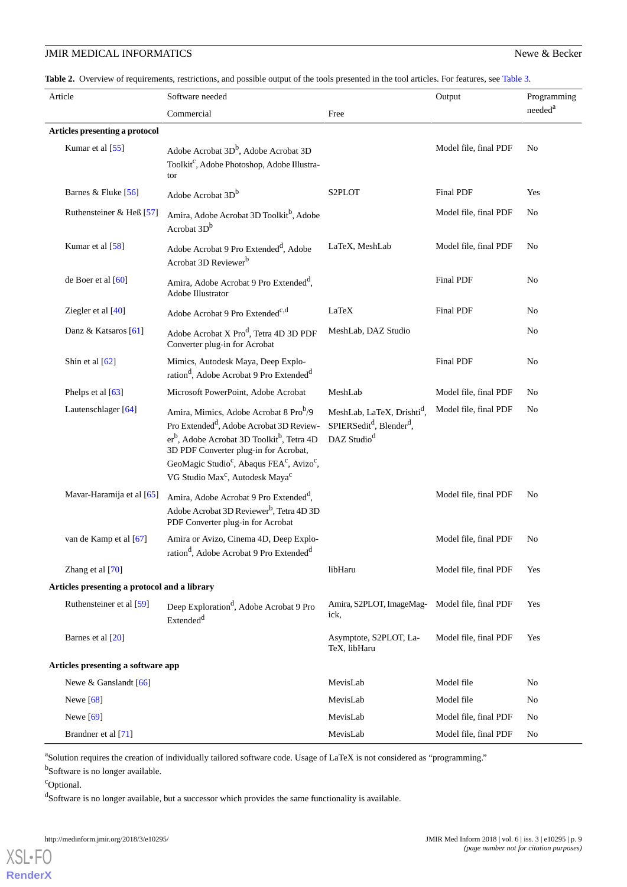#### **JMIR MEDICAL INFORMATICS** Newe & Becker

<span id="page-8-0"></span>Table 2. Overview of requirements, restrictions, and possible output of the tools presented in the tool articles. For features, see [Table 3](#page-9-0).

| Article                                      | Software needed                                                                                                                                                                                                                                                                                                                                                       |                                                                                                                       | Output                | Programming         |  |
|----------------------------------------------|-----------------------------------------------------------------------------------------------------------------------------------------------------------------------------------------------------------------------------------------------------------------------------------------------------------------------------------------------------------------------|-----------------------------------------------------------------------------------------------------------------------|-----------------------|---------------------|--|
|                                              | Commercial                                                                                                                                                                                                                                                                                                                                                            | Free                                                                                                                  |                       | needed <sup>a</sup> |  |
| Articles presenting a protocol               |                                                                                                                                                                                                                                                                                                                                                                       |                                                                                                                       |                       |                     |  |
| Kumar et al [55]                             | Adobe Acrobat 3D <sup>b</sup> , Adobe Acrobat 3D<br>Toolkit <sup>c</sup> , Adobe Photoshop, Adobe Illustra-<br>tor                                                                                                                                                                                                                                                    |                                                                                                                       | Model file, final PDF | No                  |  |
| Barnes & Fluke [56]                          | Adobe Acrobat 3D <sup>b</sup>                                                                                                                                                                                                                                                                                                                                         | S2PLOT                                                                                                                | Final PDF             | Yes                 |  |
| Ruthensteiner & Heß [57]                     | Amira, Adobe Acrobat 3D Toolkit <sup>b</sup> , Adobe<br>Acrobat 3D <sup>b</sup>                                                                                                                                                                                                                                                                                       |                                                                                                                       | Model file, final PDF | No                  |  |
| Kumar et al [58]                             | Adobe Acrobat 9 Pro Extended <sup>d</sup> , Adobe<br>Acrobat 3D Reviewer <sup>b</sup>                                                                                                                                                                                                                                                                                 | LaTeX, MeshLab                                                                                                        | Model file, final PDF | No                  |  |
| de Boer et al [60]                           | Amira, Adobe Acrobat 9 Pro Extended <sup>d</sup> ,<br>Adobe Illustrator                                                                                                                                                                                                                                                                                               |                                                                                                                       | Final PDF             | No                  |  |
| Ziegler et al [40]                           | Adobe Acrobat 9 Pro Extended <sup>c,d</sup>                                                                                                                                                                                                                                                                                                                           | LaTeX                                                                                                                 | Final PDF             | No                  |  |
| Danz & Katsaros [61]                         | Adobe Acrobat X Pro <sup>d</sup> , Tetra 4D 3D PDF<br>Converter plug-in for Acrobat                                                                                                                                                                                                                                                                                   | MeshLab, DAZ Studio                                                                                                   |                       | No                  |  |
| Shin et al [62]                              | Mimics, Autodesk Maya, Deep Explo-<br>ration <sup>d</sup> , Adobe Acrobat 9 Pro Extended <sup>d</sup>                                                                                                                                                                                                                                                                 |                                                                                                                       | Final PDF             | No                  |  |
| Phelps et al [63]                            | Microsoft PowerPoint, Adobe Acrobat                                                                                                                                                                                                                                                                                                                                   | MeshLab                                                                                                               | Model file, final PDF | No                  |  |
| Lautenschlager [64]                          | Amira, Mimics, Adobe Acrobat 8 Pro <sup>b</sup> /9<br>Pro Extended <sup>d</sup> , Adobe Acrobat 3D Review-<br>er <sup>b</sup> , Adobe Acrobat 3D Toolkit <sup>b</sup> , Tetra 4D<br>3D PDF Converter plug-in for Acrobat,<br>GeoMagic Studio <sup>c</sup> , Abaqus FEA <sup>c</sup> , Avizo <sup>c</sup> ,<br>VG Studio Max <sup>c</sup> , Autodesk Maya <sup>c</sup> | MeshLab, LaTeX, Drishti <sup>d</sup> ,<br>SPIERSedit <sup>d</sup> , Blender <sup>d</sup> ,<br>DAZ Studio <sup>d</sup> | Model file, final PDF | No                  |  |
| Mavar-Haramija et al [65]                    | Amira, Adobe Acrobat 9 Pro Extended <sup>d</sup> ,<br>Adobe Acrobat 3D Reviewer <sup>b</sup> , Tetra 4D 3D<br>PDF Converter plug-in for Acrobat                                                                                                                                                                                                                       |                                                                                                                       | Model file, final PDF | No                  |  |
| van de Kamp et al [67]                       | Amira or Avizo, Cinema 4D, Deep Explo-<br>ration <sup>d</sup> , Adobe Acrobat 9 Pro Extended <sup>d</sup>                                                                                                                                                                                                                                                             |                                                                                                                       | Model file, final PDF | No                  |  |
| Zhang et al [70]                             |                                                                                                                                                                                                                                                                                                                                                                       | libHaru                                                                                                               | Model file, final PDF | Yes                 |  |
| Articles presenting a protocol and a library |                                                                                                                                                                                                                                                                                                                                                                       |                                                                                                                       |                       |                     |  |
| Ruthensteiner et al [59]                     | Deep Exploration <sup>d</sup> , Adobe Acrobat 9 Pro<br>Extended <sup>d</sup>                                                                                                                                                                                                                                                                                          | Amira, S2PLOT, ImageMag-<br>ick,                                                                                      | Model file, final PDF | Yes                 |  |
| Barnes et al [20]                            |                                                                                                                                                                                                                                                                                                                                                                       | Asymptote, S2PLOT, La-<br>TeX, libHaru                                                                                | Model file, final PDF | Yes                 |  |
| Articles presenting a software app           |                                                                                                                                                                                                                                                                                                                                                                       |                                                                                                                       |                       |                     |  |
| Newe & Ganslandt [66]                        |                                                                                                                                                                                                                                                                                                                                                                       | MevisLab                                                                                                              | Model file            | No                  |  |
| Newe [68]                                    |                                                                                                                                                                                                                                                                                                                                                                       | MevisLab                                                                                                              | Model file            | N <sub>o</sub>      |  |
| Newe $[69]$                                  |                                                                                                                                                                                                                                                                                                                                                                       | MevisLab                                                                                                              | Model file, final PDF | No                  |  |
| Brandner et al [71]                          |                                                                                                                                                                                                                                                                                                                                                                       | MevisLab                                                                                                              | Model file, final PDF | No                  |  |

<sup>a</sup>Solution requires the creation of individually tailored software code. Usage of LaTeX is not considered as "programming."

<sup>b</sup>Software is no longer available.

<sup>c</sup>Optional.

[XSL](http://www.w3.org/Style/XSL)•FO **[RenderX](http://www.renderx.com/)**

<sup>d</sup>Software is no longer available, but a successor which provides the same functionality is available.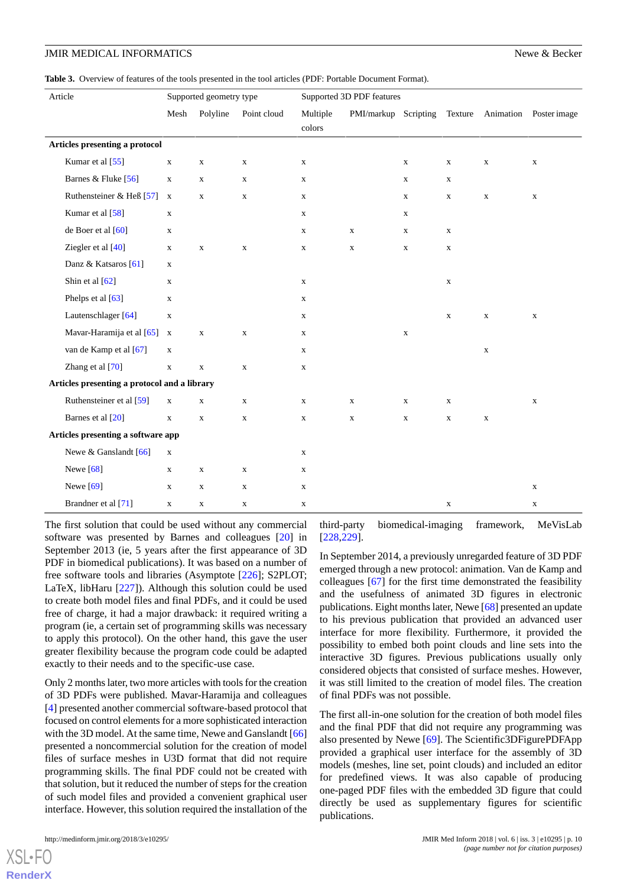#### JMIR MEDICAL INFORMATICS Newe & Becker

<span id="page-9-0"></span>**Table 3.** Overview of features of the tools presented in the tool articles (PDF: Portable Document Format).

| Article                                      | Supported geometry type |             |             | Supported 3D PDF features |                      |             |             |             |                                |
|----------------------------------------------|-------------------------|-------------|-------------|---------------------------|----------------------|-------------|-------------|-------------|--------------------------------|
|                                              | Mesh                    | Polyline    | Point cloud | Multiple<br>$\rm colors$  | PMI/markup Scripting |             |             |             | Texture Animation Poster image |
| Articles presenting a protocol               |                         |             |             |                           |                      |             |             |             |                                |
| Kumar et al [55]                             | $\mathbf X$             | $\mathbf X$ | $\mathbf X$ | $\mathbf X$               |                      | $\mathbf X$ | $\mathbf X$ | $\mathbf X$ | $\mathbf X$                    |
| Barnes & Fluke [56]                          | $\mathbf x$             | $\mathbf X$ | $\mathbf X$ | $\mathbf X$               |                      | $\mathbf X$ | $\mathbf X$ |             |                                |
| Ruthensteiner & Heß $[57]$                   | $\mathbf x$             | $\mathbf X$ | $\mathbf X$ | $\mathbf X$               |                      | $\mathbf X$ | $\mathbf X$ | $\mathbf X$ | $\mathbf X$                    |
| Kumar et al [58]                             | $\mathbf X$             |             |             | X                         |                      | X           |             |             |                                |
| de Boer et al [60]                           | $\mathbf X$             |             |             | X                         | $\mathbf x$          | $\mathbf X$ | X           |             |                                |
| Ziegler et al [40]                           | $\mathbf X$             | $\mathbf X$ | X           | X                         | X                    | X           | $\mathbf X$ |             |                                |
| Danz & Katsaros [61]                         | $\mathbf x$             |             |             |                           |                      |             |             |             |                                |
| Shin et al [62]                              | $\mathbf X$             |             |             | $\mathbf X$               |                      |             | $\mathbf X$ |             |                                |
| Phelps et al [63]                            | $\mathbf X$             |             |             | $\mathbf X$               |                      |             |             |             |                                |
| Lautenschlager [64]                          | $\mathbf X$             |             |             | X                         |                      |             | $\mathbf X$ | $\mathbf X$ | $\mathbf X$                    |
| Mavar-Haramija et al [65]                    | $\mathbf x$             | $\mathbf X$ | $\mathbf x$ | X                         |                      | $\mathbf X$ |             |             |                                |
| van de Kamp et al [67]                       | $\mathbf X$             |             |             | X                         |                      |             |             | $\mathbf X$ |                                |
| Zhang et al [70]                             | $\mathbf X$             | $\mathbf X$ | $\mathbf x$ | X                         |                      |             |             |             |                                |
| Articles presenting a protocol and a library |                         |             |             |                           |                      |             |             |             |                                |
| Ruthensteiner et al [59]                     | $\mathbf X$             | $\mathbf X$ | $\mathbf X$ | $\mathbf X$               | $\mathbf X$          | $\mathbf X$ | $\mathbf X$ |             | $\mathbf X$                    |
| Barnes et al [20]                            | $\mathbf x$             | $\mathbf X$ | $\mathbf X$ | $\mathbf X$               | $\mathbf X$          | $\mathbf X$ | $\mathbf X$ | $\mathbf X$ |                                |
| Articles presenting a software app           |                         |             |             |                           |                      |             |             |             |                                |
| Newe & Ganslandt [66]                        | $\mathbf X$             |             |             | $\mathbf X$               |                      |             |             |             |                                |
| Newe $[68]$                                  | $\mathbf X$             | $\mathbf X$ | X           | X                         |                      |             |             |             |                                |
| Newe $[69]$                                  | $\mathbf X$             | $\mathbf X$ | $\mathbf X$ | X                         |                      |             |             |             | $\mathbf X$                    |
| Brandner et al [71]                          | $\mathbf X$             | $\mathbf X$ | $\mathbf X$ | X                         |                      |             | $\mathbf X$ |             | $\mathbf X$                    |

The first solution that could be used without any commercial software was presented by Barnes and colleagues [\[20](#page-12-19)] in September 2013 (ie, 5 years after the first appearance of 3D PDF in biomedical publications). It was based on a number of free software tools and libraries (Asymptote [[226\]](#page-21-6); S2PLOT; LaTeX, libHaru [\[227](#page-22-0)]). Although this solution could be used to create both model files and final PDFs, and it could be used free of charge, it had a major drawback: it required writing a program (ie, a certain set of programming skills was necessary to apply this protocol). On the other hand, this gave the user greater flexibility because the program code could be adapted exactly to their needs and to the specific-use case.

Only 2 months later, two more articles with tools for the creation of 3D PDFs were published. Mavar-Haramija and colleagues [[4\]](#page-12-3) presented another commercial software-based protocol that focused on control elements for a more sophisticated interaction with the 3D model. At the same time, Newe and Ganslandt [\[66](#page-14-12)] presented a noncommercial solution for the creation of model files of surface meshes in U3D format that did not require programming skills. The final PDF could not be created with that solution, but it reduced the number of steps for the creation of such model files and provided a convenient graphical user interface. However, this solution required the installation of the

[XSL](http://www.w3.org/Style/XSL)•FO **[RenderX](http://www.renderx.com/)**

third-party biomedical-imaging framework, MeVisLab [[228](#page-22-1)[,229\]](#page-22-2).

In September 2014, a previously unregarded feature of 3D PDF emerged through a new protocol: animation. Van de Kamp and colleagues [\[67](#page-14-13)] for the first time demonstrated the feasibility and the usefulness of animated 3D figures in electronic publications. Eight months later, Newe [\[68](#page-14-8)] presented an update to his previous publication that provided an advanced user interface for more flexibility. Furthermore, it provided the possibility to embed both point clouds and line sets into the interactive 3D figures. Previous publications usually only considered objects that consisted of surface meshes. However, it was still limited to the creation of model files. The creation of final PDFs was not possible.

The first all-in-one solution for the creation of both model files and the final PDF that did not require any programming was also presented by Newe [[69\]](#page-14-18). The Scientific3DFigurePDFApp provided a graphical user interface for the assembly of 3D models (meshes, line set, point clouds) and included an editor for predefined views. It was also capable of producing one-paged PDF files with the embedded 3D figure that could directly be used as supplementary figures for scientific publications.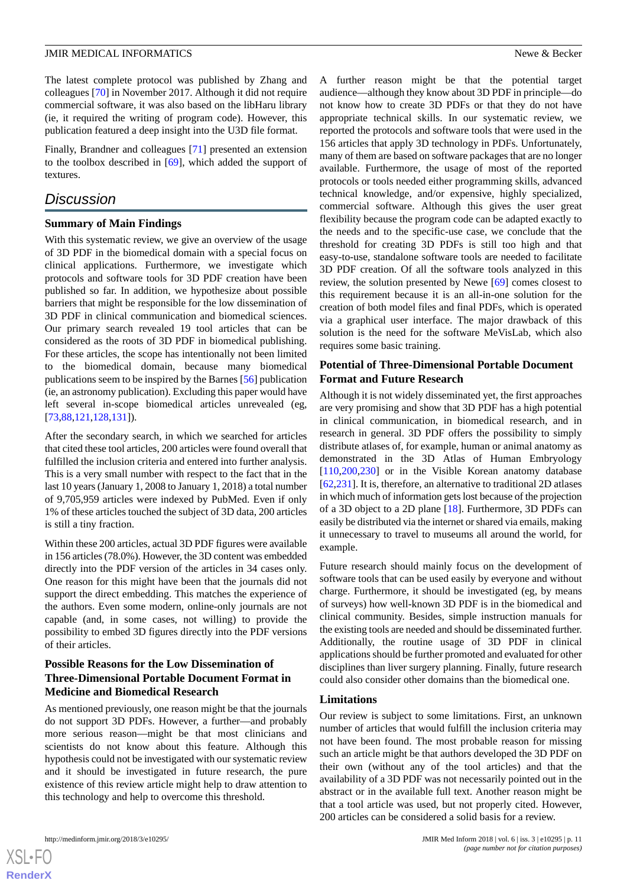The latest complete protocol was published by Zhang and colleagues [\[70](#page-14-17)] in November 2017. Although it did not require commercial software, it was also based on the libHaru library (ie, it required the writing of program code). However, this publication featured a deep insight into the U3D file format.

Finally, Brandner and colleagues [[71\]](#page-14-2) presented an extension to the toolbox described in [[69\]](#page-14-18), which added the support of textures.

### *Discussion*

#### **Summary of Main Findings**

With this systematic review, we give an overview of the usage of 3D PDF in the biomedical domain with a special focus on clinical applications. Furthermore, we investigate which protocols and software tools for 3D PDF creation have been published so far. In addition, we hypothesize about possible barriers that might be responsible for the low dissemination of 3D PDF in clinical communication and biomedical sciences. Our primary search revealed 19 tool articles that can be considered as the roots of 3D PDF in biomedical publishing. For these articles, the scope has intentionally not been limited to the biomedical domain, because many biomedical publications seem to be inspired by the Barnes [\[56](#page-14-15)] publication (ie, an astronomy publication). Excluding this paper would have left several in-scope biomedical articles unrevealed (eg, [[73](#page-15-2)[,88](#page-15-3),[121](#page-17-0)[,128](#page-17-1),[131\]](#page-17-2)).

After the secondary search, in which we searched for articles that cited these tool articles, 200 articles were found overall that fulfilled the inclusion criteria and entered into further analysis. This is a very small number with respect to the fact that in the last 10 years (January 1, 2008 to January 1, 2018) a total number of 9,705,959 articles were indexed by PubMed. Even if only 1% of these articles touched the subject of 3D data, 200 articles is still a tiny fraction.

Within these 200 articles, actual 3D PDF figures were available in 156 articles (78.0%). However, the 3D content was embedded directly into the PDF version of the articles in 34 cases only. One reason for this might have been that the journals did not support the direct embedding. This matches the experience of the authors. Even some modern, online-only journals are not capable (and, in some cases, not willing) to provide the possibility to embed 3D figures directly into the PDF versions of their articles.

#### **Possible Reasons for the Low Dissemination of Three-Dimensional Portable Document Format in Medicine and Biomedical Research**

As mentioned previously, one reason might be that the journals do not support 3D PDFs. However, a further—and probably more serious reason—might be that most clinicians and scientists do not know about this feature. Although this hypothesis could not be investigated with our systematic review and it should be investigated in future research, the pure existence of this review article might help to draw attention to this technology and help to overcome this threshold.

A further reason might be that the potential target audience—although they know about 3D PDF in principle—do not know how to create 3D PDFs or that they do not have appropriate technical skills. In our systematic review, we reported the protocols and software tools that were used in the 156 articles that apply 3D technology in PDFs. Unfortunately, many of them are based on software packages that are no longer available. Furthermore, the usage of most of the reported protocols or tools needed either programming skills, advanced technical knowledge, and/or expensive, highly specialized, commercial software. Although this gives the user great flexibility because the program code can be adapted exactly to the needs and to the specific-use case, we conclude that the threshold for creating 3D PDFs is still too high and that easy-to-use, standalone software tools are needed to facilitate 3D PDF creation. Of all the software tools analyzed in this review, the solution presented by Newe [[69\]](#page-14-18) comes closest to this requirement because it is an all-in-one solution for the creation of both model files and final PDFs, which is operated via a graphical user interface. The major drawback of this solution is the need for the software MeVisLab, which also requires some basic training.

#### **Potential of Three-Dimensional Portable Document Format and Future Research**

Although it is not widely disseminated yet, the first approaches are very promising and show that 3D PDF has a high potential in clinical communication, in biomedical research, and in research in general. 3D PDF offers the possibility to simply distribute atlases of, for example, human or animal anatomy as demonstrated in the 3D Atlas of Human Embryology [[110](#page-16-2)[,200,](#page-20-6)[230\]](#page-22-3) or in the Visible Korean anatomy database [[62,](#page-14-14)[231](#page-22-4)]. It is, therefore, an alternative to traditional 2D atlases in which much of information gets lost because of the projection of a 3D object to a 2D plane [[18\]](#page-12-17). Furthermore, 3D PDFs can easily be distributed via the internet or shared via emails, making it unnecessary to travel to museums all around the world, for example.

Future research should mainly focus on the development of software tools that can be used easily by everyone and without charge. Furthermore, it should be investigated (eg, by means of surveys) how well-known 3D PDF is in the biomedical and clinical community. Besides, simple instruction manuals for the existing tools are needed and should be disseminated further. Additionally, the routine usage of 3D PDF in clinical applications should be further promoted and evaluated for other disciplines than liver surgery planning. Finally, future research could also consider other domains than the biomedical one.

#### **Limitations**

Our review is subject to some limitations. First, an unknown number of articles that would fulfill the inclusion criteria may not have been found. The most probable reason for missing such an article might be that authors developed the 3D PDF on their own (without any of the tool articles) and that the availability of a 3D PDF was not necessarily pointed out in the abstract or in the available full text. Another reason might be that a tool article was used, but not properly cited. However, 200 articles can be considered a solid basis for a review.

 $XS$  • FC **[RenderX](http://www.renderx.com/)**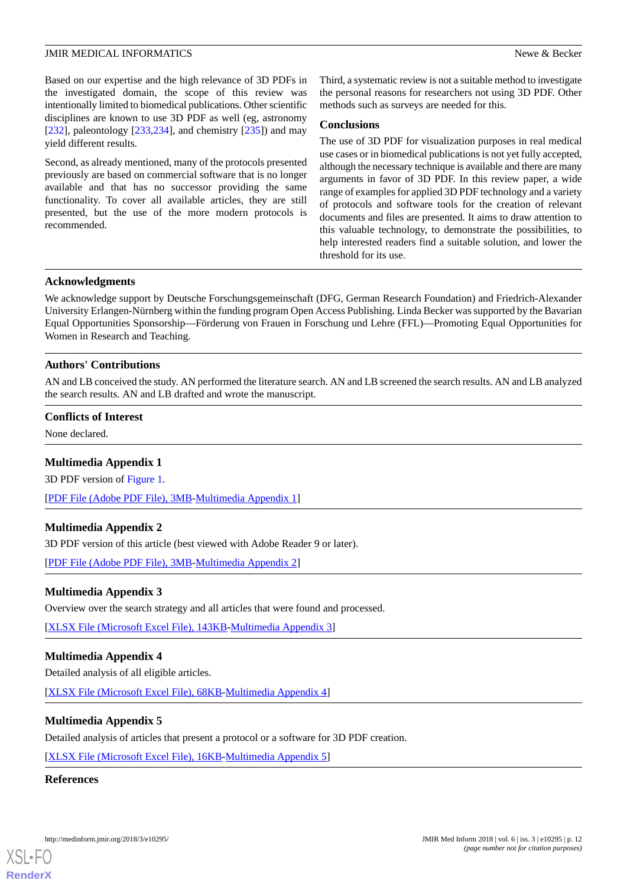#### JMIR MEDICAL INFORMATICS **News** Becker

Based on our expertise and the high relevance of 3D PDFs in the investigated domain, the scope of this review was intentionally limited to biomedical publications. Other scientific disciplines are known to use 3D PDF as well (eg, astronomy [[232\]](#page-22-5), paleontology [\[233](#page-22-6),[234\]](#page-22-7), and chemistry [\[235](#page-22-8)]) and may yield different results.

Second, as already mentioned, many of the protocols presented previously are based on commercial software that is no longer available and that has no successor providing the same functionality. To cover all available articles, they are still presented, but the use of the more modern protocols is recommended.

Third, a systematic review is not a suitable method to investigate the personal reasons for researchers not using 3D PDF. Other methods such as surveys are needed for this.

#### **Conclusions**

The use of 3D PDF for visualization purposes in real medical use cases or in biomedical publications is not yet fully accepted, although the necessary technique is available and there are many arguments in favor of 3D PDF. In this review paper, a wide range of examples for applied 3D PDF technology and a variety of protocols and software tools for the creation of relevant documents and files are presented. It aims to draw attention to this valuable technology, to demonstrate the possibilities, to help interested readers find a suitable solution, and lower the threshold for its use.

#### **Acknowledgments**

We acknowledge support by Deutsche Forschungsgemeinschaft (DFG, German Research Foundation) and Friedrich-Alexander University Erlangen-Nürnberg within the funding program Open Access Publishing. Linda Becker was supported by the Bavarian Equal Opportunities Sponsorship—Förderung von Frauen in Forschung und Lehre (FFL)—Promoting Equal Opportunities for Women in Research and Teaching.

#### **Authors' Contributions**

AN and LB conceived the study. AN performed the literature search. AN and LB screened the search results. AN and LB analyzed the search results. AN and LB drafted and wrote the manuscript.

#### <span id="page-11-0"></span>**Conflicts of Interest**

None declared.

#### **Multimedia Appendix 1**

<span id="page-11-1"></span>3D PDF version of [Figure 1](#page-2-0).

[[PDF File \(Adobe PDF File\), 3MB](https://jmir.org/api/download?alt_name=medinform_v6i3e10295_app1.pdf&filename=6c36ebf19080a847f4b907e5abdc59ef.pdf)-[Multimedia Appendix 1\]](https://jmir.org/api/download?alt_name=medinform_v6i3e10295_app1.pdf&filename=6c36ebf19080a847f4b907e5abdc59ef.pdf)

#### <span id="page-11-2"></span>**Multimedia Appendix 2**

3D PDF version of this article (best viewed with Adobe Reader 9 or later).

[[PDF File \(Adobe PDF File\), 3MB](https://jmir.org/api/download?alt_name=medinform_v6i3e10295_app2.pdf&filename=4def67c1454545e86a6bc4655b02a7c7.pdf)-[Multimedia Appendix 2\]](https://jmir.org/api/download?alt_name=medinform_v6i3e10295_app2.pdf&filename=4def67c1454545e86a6bc4655b02a7c7.pdf)

#### <span id="page-11-3"></span>**Multimedia Appendix 3**

Overview over the search strategy and all articles that were found and processed.

[[XLSX File \(Microsoft Excel File\), 143KB-Multimedia Appendix 3](https://jmir.org/api/download?alt_name=medinform_v6i3e10295_app3.xlsx&filename=9172e5ee310966ea80e429e5a3226888.xlsx)]

#### <span id="page-11-4"></span>**Multimedia Appendix 4**

Detailed analysis of all eligible articles.

[[XLSX File \(Microsoft Excel File\), 68KB-Multimedia Appendix 4](https://jmir.org/api/download?alt_name=medinform_v6i3e10295_app4.xlsx&filename=d54af0502ae00f5f45e301fb13064ae5.xlsx)]

#### **Multimedia Appendix 5**

Detailed analysis of articles that present a protocol or a software for 3D PDF creation.

[[XLSX File \(Microsoft Excel File\), 16KB-Multimedia Appendix 5](https://jmir.org/api/download?alt_name=medinform_v6i3e10295_app5.xlsx&filename=0433632919fb7919b4e8b91fbe6ddafa.xlsx)]

#### **References**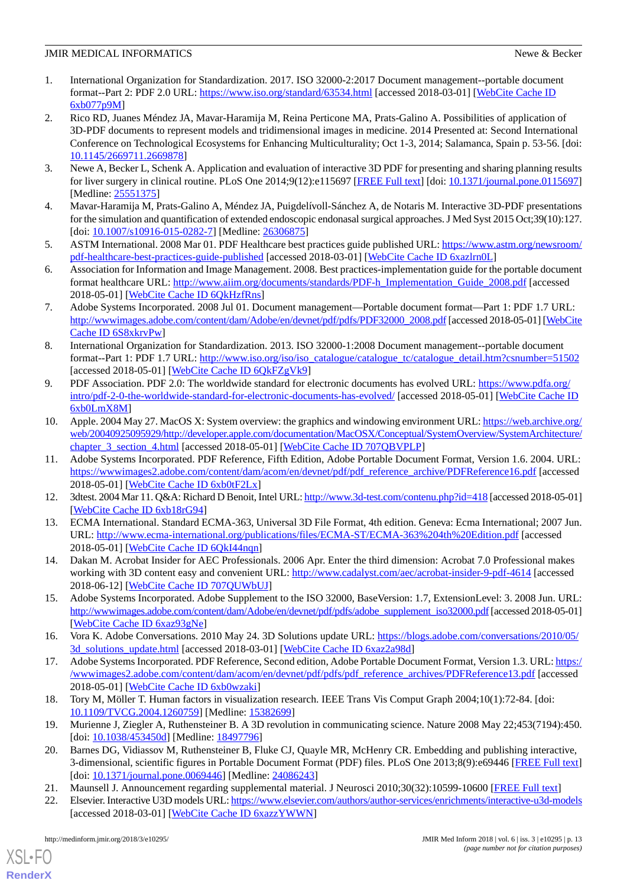- <span id="page-12-0"></span>1. International Organization for Standardization. 2017. ISO 32000-2:2017 Document management--portable document format--Part 2: PDF 2.0 URL: <https://www.iso.org/standard/63534.html> [accessed 2018-03-01] [[WebCite Cache ID](http://www.webcitation.org/

                                6xb077p9M) [6xb077p9M](http://www.webcitation.org/

                                6xb077p9M)]
- <span id="page-12-1"></span>2. Rico RD, Juanes Méndez JA, Mavar-Haramija M, Reina Perticone MA, Prats-Galino A. Possibilities of application of 3D-PDF documents to represent models and tridimensional images in medicine. 2014 Presented at: Second International Conference on Technological Ecosystems for Enhancing Multiculturality; Oct 1-3, 2014; Salamanca, Spain p. 53-56. [doi: [10.1145/2669711.2669878](http://dx.doi.org/10.1145/2669711.2669878)]
- <span id="page-12-3"></span><span id="page-12-2"></span>3. Newe A, Becker L, Schenk A. Application and evaluation of interactive 3D PDF for presenting and sharing planning results for liver surgery in clinical routine. PLoS One 2014;9(12):e115697 [\[FREE Full text](http://dx.plos.org/10.1371/journal.pone.0115697)] [doi: [10.1371/journal.pone.0115697](http://dx.doi.org/10.1371/journal.pone.0115697)] [Medline: [25551375](http://www.ncbi.nlm.nih.gov/entrez/query.fcgi?cmd=Retrieve&db=PubMed&list_uids=25551375&dopt=Abstract)]
- <span id="page-12-4"></span>4. Mavar-Haramija M, Prats-Galino A, Méndez JA, Puigdelívoll-Sánchez A, de Notaris M. Interactive 3D-PDF presentations for the simulation and quantification of extended endoscopic endonasal surgical approaches. J Med Syst 2015 Oct;39(10):127. [doi: [10.1007/s10916-015-0282-7](http://dx.doi.org/10.1007/s10916-015-0282-7)] [Medline: [26306875\]](http://www.ncbi.nlm.nih.gov/entrez/query.fcgi?cmd=Retrieve&db=PubMed&list_uids=26306875&dopt=Abstract)
- <span id="page-12-5"></span>5. ASTM International. 2008 Mar 01. PDF Healthcare best practices guide published URL: [https://www.astm.org/newsroom/](https://www.astm.org/newsroom/pdf-healthcare-best-practices-guide-published) [pdf-healthcare-best-practices-guide-published](https://www.astm.org/newsroom/pdf-healthcare-best-practices-guide-published) [accessed 2018-03-01] [[WebCite Cache ID 6xazlrn0L](http://www.webcitation.org/

                                6xazlrn0L)]
- <span id="page-12-6"></span>6. Association for Information and Image Management. 2008. Best practices-implementation guide for the portable document format healthcare URL: [http://www.aiim.org/documents/standards/PDF-h\\_Implementation\\_Guide\\_2008.pdf](http://www.aiim.org/documents/standards/PDF-h_Implementation_Guide_2008.pdf) [accessed 2018-05-01] [\[WebCite Cache ID 6QkHzfRns\]](http://www.webcitation.org/

                                6QkHzfRns)
- <span id="page-12-7"></span>7. Adobe Systems Incorporated. 2008 Jul 01. Document management—Portable document format—Part 1: PDF 1.7 URL: [http://wwwimages.adobe.com/content/dam/Adobe/en/devnet/pdf/pdfs/PDF32000\\_2008.pdf](http://wwwimages.adobe.com/content/dam/Adobe/en/devnet/pdf/pdfs/PDF32000_2008.pdf) [accessed 2018-05-01] [[WebCite](http://www.webcitation.org/

                                6S8xkrvPw) [Cache ID 6S8xkrvPw\]](http://www.webcitation.org/

                                6S8xkrvPw)
- <span id="page-12-8"></span>8. International Organization for Standardization. 2013. ISO 32000-1:2008 Document management--portable document format--Part 1: PDF 1.7 URL: [http://www.iso.org/iso/iso\\_catalogue/catalogue\\_tc/catalogue\\_detail.htm?csnumber=51502](http://www.iso.org/iso/iso_catalogue/catalogue_tc/catalogue_detail.htm?csnumber=51502) [accessed 2018-05-01] [\[WebCite Cache ID 6QkFZgVk9](http://www.webcitation.org/

                                6QkFZgVk9)]
- <span id="page-12-9"></span>9. PDF Association. PDF 2.0: The worldwide standard for electronic documents has evolved URL: [https://www.pdfa.org/](https://www.pdfa.org/intro/pdf-2-0-the-worldwide-standard-for-electronic-documents-has-evolved/) [intro/pdf-2-0-the-worldwide-standard-for-electronic-documents-has-evolved/](https://www.pdfa.org/intro/pdf-2-0-the-worldwide-standard-for-electronic-documents-has-evolved/) [accessed 2018-05-01] [\[WebCite Cache ID](http://www.webcitation.org/

                                6xb0LmX8M) [6xb0LmX8M\]](http://www.webcitation.org/

                                6xb0LmX8M)
- <span id="page-12-10"></span>10. Apple. 2004 May 27. MacOS X: System overview: the graphics and windowing environment URL: [https://web.archive.org/](https://web.archive.org/web/20040925095929/http://developer.apple.com/documentation/MacOSX/Conceptual/SystemOverview/SystemArchitecture/chapter_3_section_4.html) [web/20040925095929/http://developer.apple.com/documentation/MacOSX/Conceptual/SystemOverview/SystemArchitecture/](https://web.archive.org/web/20040925095929/http://developer.apple.com/documentation/MacOSX/Conceptual/SystemOverview/SystemArchitecture/chapter_3_section_4.html) chapter 3 section 4.html [accessed 2018-05-01] [WebCite Cache ID 707OBVPLP]
- <span id="page-12-12"></span><span id="page-12-11"></span>11. Adobe Systems Incorporated. PDF Reference, Fifth Edition, Adobe Portable Document Format, Version 1.6. 2004. URL: [https://wwwimages2.adobe.com/content/dam/acom/en/devnet/pdf/pdf\\_reference\\_archive/PDFReference16.pdf](https://wwwimages2.adobe.com/content/dam/acom/en/devnet/pdf/pdf_reference_archive/PDFReference16.pdf) [accessed 2018-05-01] [\[WebCite Cache ID 6xb0tF2Lx\]](http://www.webcitation.org/

                                6xb0tF2Lx)
- <span id="page-12-13"></span>12. 3dtest. 2004 Mar 11. Q&A: Richard D Benoit, Intel URL:<http://www.3d-test.com/contenu.php?id=418> [accessed 2018-05-01] [[WebCite Cache ID 6xb18rG94](http://www.webcitation.org/

                                6xb18rG94)]
- <span id="page-12-14"></span>13. ECMA International. Standard ECMA-363, Universal 3D File Format, 4th edition. Geneva: Ecma International; 2007 Jun. URL: <http://www.ecma-international.org/publications/files/ECMA-ST/ECMA-363%204th%20Edition.pdf> [accessed 2018-05-01] [\[WebCite Cache ID 6QkI44nqn\]](http://www.webcitation.org/

                                6QkI44nqn)
- <span id="page-12-15"></span>14. Dakan M. Acrobat Insider for AEC Professionals. 2006 Apr. Enter the third dimension: Acrobat 7.0 Professional makes working with 3D content easy and convenient URL: <http://www.cadalyst.com/aec/acrobat-insider-9-pdf-4614> [accessed 2018-06-12] [\[WebCite Cache ID 707QUWbUJ](http://www.webcitation.org/

                                707QUWbUJ)]
- <span id="page-12-16"></span>15. Adobe Systems Incorporated. Adobe Supplement to the ISO 32000, BaseVersion: 1.7, ExtensionLevel: 3. 2008 Jun. URL: [http://wwwimages.adobe.com/content/dam/Adobe/en/devnet/pdf/pdfs/adobe\\_supplement\\_iso32000.pdf](http://wwwimages.adobe.com/content/dam/Adobe/en/devnet/pdf/pdfs/adobe_supplement_iso32000.pdf) [accessed 2018-05-01] [[WebCite Cache ID 6xaz93gNe](http://www.webcitation.org/

                                6xaz93gNe)]
- <span id="page-12-17"></span>16. Vora K. Adobe Conversations. 2010 May 24. 3D Solutions update URL: [https://blogs.adobe.com/conversations/2010/05/](https://blogs.adobe.com/conversations/2010/05/3d_solutions_update.html) [3d\\_solutions\\_update.html](https://blogs.adobe.com/conversations/2010/05/3d_solutions_update.html) [accessed 2018-03-01] [\[WebCite Cache ID 6xaz2a98d](http://www.webcitation.org/

                                6xaz2a98d)]
- <span id="page-12-19"></span><span id="page-12-18"></span>17. Adobe Systems Incorporated. PDF Reference, Second edition, Adobe Portable Document Format, Version 1.3. URL: [https:/](https://wwwimages2.adobe.com/content/dam/acom/en/devnet/pdf/pdfs/pdf_reference_archives/PDFReference13.pdf) [/wwwimages2.adobe.com/content/dam/acom/en/devnet/pdf/pdfs/pdf\\_reference\\_archives/PDFReference13.pdf](https://wwwimages2.adobe.com/content/dam/acom/en/devnet/pdf/pdfs/pdf_reference_archives/PDFReference13.pdf) [accessed 2018-05-01] [\[WebCite Cache ID 6xb0wzaki](http://www.webcitation.org/

                                6xb0wzaki)]
- <span id="page-12-20"></span>18. Tory M, Möller T. Human factors in visualization research. IEEE Trans Vis Comput Graph 2004;10(1):72-84. [doi: [10.1109/TVCG.2004.1260759](http://dx.doi.org/10.1109/TVCG.2004.1260759)] [Medline: [15382699\]](http://www.ncbi.nlm.nih.gov/entrez/query.fcgi?cmd=Retrieve&db=PubMed&list_uids=15382699&dopt=Abstract)
- <span id="page-12-21"></span>19. Murienne J, Ziegler A, Ruthensteiner B. A 3D revolution in communicating science. Nature 2008 May 22;453(7194):450. [doi: [10.1038/453450d](http://dx.doi.org/10.1038/453450d)] [Medline: [18497796\]](http://www.ncbi.nlm.nih.gov/entrez/query.fcgi?cmd=Retrieve&db=PubMed&list_uids=18497796&dopt=Abstract)
- 20. Barnes DG, Vidiassov M, Ruthensteiner B, Fluke CJ, Quayle MR, McHenry CR. Embedding and publishing interactive, 3-dimensional, scientific figures in Portable Document Format (PDF) files. PLoS One 2013;8(9):e69446 [\[FREE Full text](http://dx.plos.org/10.1371/journal.pone.0069446)] [doi: [10.1371/journal.pone.0069446\]](http://dx.doi.org/10.1371/journal.pone.0069446) [Medline: [24086243\]](http://www.ncbi.nlm.nih.gov/entrez/query.fcgi?cmd=Retrieve&db=PubMed&list_uids=24086243&dopt=Abstract)
- 21. Maunsell J. Announcement regarding supplemental material. J Neurosci 2010;30(32):10599-10600 [\[FREE Full text\]](http://www.jneurosci.org/content/30/32/10599)
- 22. Elsevier. Interactive U3D models URL:<https://www.elsevier.com/authors/author-services/enrichments/interactive-u3d-models> [accessed 2018-03-01] [\[WebCite Cache ID 6xazzYWWN\]](http://www.webcitation.org/

                                6xazzYWWN)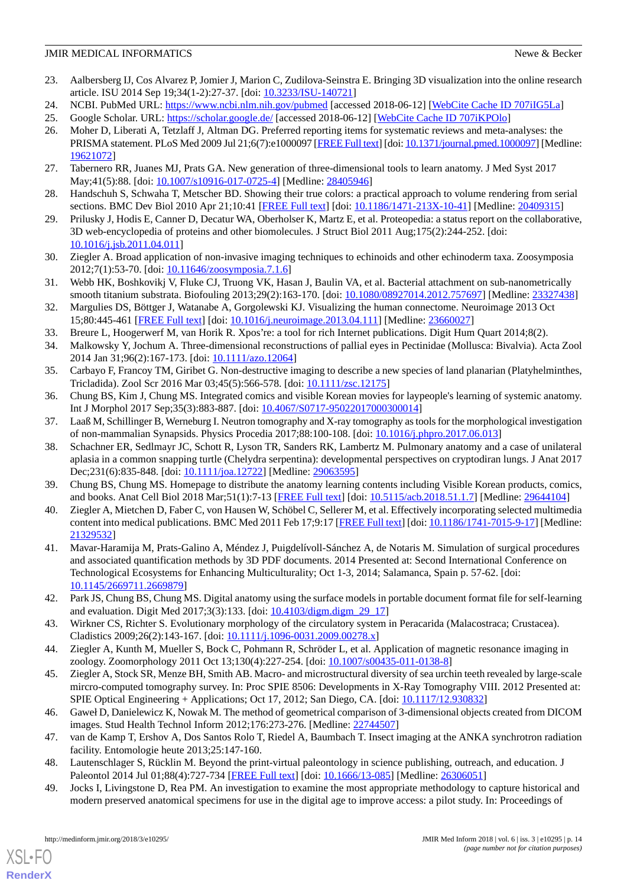- <span id="page-13-0"></span>23. Aalbersberg IJ, Cos Alvarez P, Jomier J, Marion C, Zudilova-Seinstra E. Bringing 3D visualization into the online research article. ISU 2014 Sep 19;34(1-2):27-37. [doi: [10.3233/ISU-140721](http://dx.doi.org/10.3233/ISU-140721)]
- <span id="page-13-2"></span><span id="page-13-1"></span>24. NCBI. PubMed URL:<https://www.ncbi.nlm.nih.gov/pubmed> [accessed 2018-06-12] [\[WebCite Cache ID 707iIG5La](http://www.webcitation.org/

                                707iIG5La)]
- <span id="page-13-3"></span>25. Google Scholar. URL: <https://scholar.google.de/> [accessed 2018-06-12] [\[WebCite Cache ID 707iKPOlo\]](http://www.webcitation.org/

                                707iKPOlo)
- 26. Moher D, Liberati A, Tetzlaff J, Altman DG. Preferred reporting items for systematic reviews and meta-analyses: the PRISMA statement. PLoS Med 2009 Jul 21;6(7):e1000097 [\[FREE Full text\]](http://dx.plos.org/10.1371/journal.pmed.1000097) [doi: [10.1371/journal.pmed.1000097\]](http://dx.doi.org/10.1371/journal.pmed.1000097) [Medline: [19621072](http://www.ncbi.nlm.nih.gov/entrez/query.fcgi?cmd=Retrieve&db=PubMed&list_uids=19621072&dopt=Abstract)]
- <span id="page-13-4"></span>27. Tabernero RR, Juanes MJ, Prats GA. New generation of three-dimensional tools to learn anatomy. J Med Syst 2017 May;41(5):88. [doi: [10.1007/s10916-017-0725-4\]](http://dx.doi.org/10.1007/s10916-017-0725-4) [Medline: [28405946](http://www.ncbi.nlm.nih.gov/entrez/query.fcgi?cmd=Retrieve&db=PubMed&list_uids=28405946&dopt=Abstract)]
- 28. Handschuh S, Schwaha T, Metscher BD. Showing their true colors: a practical approach to volume rendering from serial sections. BMC Dev Biol 2010 Apr 21;10:41 [\[FREE Full text\]](https://bmcdevbiol.biomedcentral.com/articles/10.1186/1471-213X-10-41) [doi: [10.1186/1471-213X-10-41](http://dx.doi.org/10.1186/1471-213X-10-41)] [Medline: [20409315\]](http://www.ncbi.nlm.nih.gov/entrez/query.fcgi?cmd=Retrieve&db=PubMed&list_uids=20409315&dopt=Abstract)
- 29. Prilusky J, Hodis E, Canner D, Decatur WA, Oberholser K, Martz E, et al. Proteopedia: a status report on the collaborative, 3D web-encyclopedia of proteins and other biomolecules. J Struct Biol 2011 Aug;175(2):244-252. [doi: [10.1016/j.jsb.2011.04.011\]](http://dx.doi.org/10.1016/j.jsb.2011.04.011)
- 30. Ziegler A. Broad application of non-invasive imaging techniques to echinoids and other echinoderm taxa. Zoosymposia 2012;7(1):53-70. [doi: [10.11646/zoosymposia.7.1.6\]](http://dx.doi.org/10.11646/zoosymposia.7.1.6)
- 31. Webb HK, Boshkovikj V, Fluke CJ, Truong VK, Hasan J, Baulin VA, et al. Bacterial attachment on sub-nanometrically smooth titanium substrata. Biofouling 2013;29(2):163-170. [doi: [10.1080/08927014.2012.757697\]](http://dx.doi.org/10.1080/08927014.2012.757697) [Medline: [23327438\]](http://www.ncbi.nlm.nih.gov/entrez/query.fcgi?cmd=Retrieve&db=PubMed&list_uids=23327438&dopt=Abstract)
- 32. Margulies DS, Böttger J, Watanabe A, Gorgolewski KJ. Visualizing the human connectome. Neuroimage 2013 Oct 15;80:445-461 [\[FREE Full text\]](http://linkinghub.elsevier.com/retrieve/pii/S1053-8119(13)00470-9) [doi: [10.1016/j.neuroimage.2013.04.111](http://dx.doi.org/10.1016/j.neuroimage.2013.04.111)] [Medline: [23660027\]](http://www.ncbi.nlm.nih.gov/entrez/query.fcgi?cmd=Retrieve&db=PubMed&list_uids=23660027&dopt=Abstract)
- 33. Breure L, Hoogerwerf M, van Horik R. Xpos're: a tool for rich Internet publications. Digit Hum Quart 2014;8(2).
- 34. Malkowsky Y, Jochum A. Three-dimensional reconstructions of pallial eyes in Pectinidae (Mollusca: Bivalvia). Acta Zool 2014 Jan 31;96(2):167-173. [doi: [10.1111/azo.12064](http://dx.doi.org/10.1111/azo.12064)]
- 35. Carbayo F, Francoy TM, Giribet G. Non-destructive imaging to describe a new species of land planarian (Platyhelminthes, Tricladida). Zool Scr 2016 Mar 03;45(5):566-578. [doi: [10.1111/zsc.12175\]](http://dx.doi.org/10.1111/zsc.12175)
- 36. Chung BS, Kim J, Chung MS. Integrated comics and visible Korean movies for laypeople's learning of systemic anatomy. Int J Morphol 2017 Sep;35(3):883-887. [doi: [10.4067/S0717-95022017000300014\]](http://dx.doi.org/10.4067/S0717-95022017000300014)
- 37. Laaß M, Schillinger B, Werneburg I. Neutron tomography and X-ray tomography as tools for the morphological investigation of non-mammalian Synapsids. Physics Procedia 2017;88:100-108. [doi: [10.1016/j.phpro.2017.06.013](http://dx.doi.org/10.1016/j.phpro.2017.06.013)]
- <span id="page-13-6"></span><span id="page-13-5"></span>38. Schachner ER, Sedlmayr JC, Schott R, Lyson TR, Sanders RK, Lambertz M. Pulmonary anatomy and a case of unilateral aplasia in a common snapping turtle (Chelydra serpentina): developmental perspectives on cryptodiran lungs. J Anat 2017 Dec; 231(6): 835-848. [doi: [10.1111/joa.12722\]](http://dx.doi.org/10.1111/joa.12722) [Medline: [29063595](http://www.ncbi.nlm.nih.gov/entrez/query.fcgi?cmd=Retrieve&db=PubMed&list_uids=29063595&dopt=Abstract)]
- <span id="page-13-8"></span>39. Chung BS, Chung MS. Homepage to distribute the anatomy learning contents including Visible Korean products, comics, and books. Anat Cell Biol 2018 Mar;51(1):7-13 [[FREE Full text](https://acbjournal.org/DOIx.php?id=10.5115/acb.2018.51.1.7)] [doi: [10.5115/acb.2018.51.1.7](http://dx.doi.org/10.5115/acb.2018.51.1.7)] [Medline: [29644104\]](http://www.ncbi.nlm.nih.gov/entrez/query.fcgi?cmd=Retrieve&db=PubMed&list_uids=29644104&dopt=Abstract)
- 40. Ziegler A, Mietchen D, Faber C, von Hausen W, Schöbel C, Sellerer M, et al. Effectively incorporating selected multimedia content into medical publications. BMC Med 2011 Feb 17;9:17 [\[FREE Full text\]](https://bmcmedicine.biomedcentral.com/articles/10.1186/1741-7015-9-17) [doi: [10.1186/1741-7015-9-17\]](http://dx.doi.org/10.1186/1741-7015-9-17) [Medline: [21329532](http://www.ncbi.nlm.nih.gov/entrez/query.fcgi?cmd=Retrieve&db=PubMed&list_uids=21329532&dopt=Abstract)]
- <span id="page-13-9"></span>41. Mavar-Haramija M, Prats-Galino A, Méndez J, Puigdelívoll-Sánchez A, de Notaris M. Simulation of surgical procedures and associated quantification methods by 3D PDF documents. 2014 Presented at: Second International Conference on Technological Ecosystems for Enhancing Multiculturality; Oct 1-3, 2014; Salamanca, Spain p. 57-62. [doi: [10.1145/2669711.2669879](http://dx.doi.org/10.1145/2669711.2669879)]
- 42. Park JS, Chung BS, Chung MS. Digital anatomy using the surface models in portable document format file for self-learning and evaluation. Digit Med 2017;3(3):133. [doi: 10.4103/digm.digm 29 17]
- 43. Wirkner CS, Richter S. Evolutionary morphology of the circulatory system in Peracarida (Malacostraca; Crustacea). Cladistics 2009;26(2):143-167. [doi: [10.1111/j.1096-0031.2009.00278.x\]](http://dx.doi.org/10.1111/j.1096-0031.2009.00278.x)
- 44. Ziegler A, Kunth M, Mueller S, Bock C, Pohmann R, Schröder L, et al. Application of magnetic resonance imaging in zoology. Zoomorphology 2011 Oct 13;130(4):227-254. [doi: [10.1007/s00435-011-0138-8](http://dx.doi.org/10.1007/s00435-011-0138-8)]
- <span id="page-13-7"></span>45. Ziegler A, Stock SR, Menze BH, Smith AB. Macro- and microstructural diversity of sea urchin teeth revealed by large-scale mircro-computed tomography survey. In: Proc SPIE 8506: Developments in X-Ray Tomography VIII. 2012 Presented at: SPIE Optical Engineering + Applications; Oct 17, 2012; San Diego, CA. [doi: [10.1117/12.930832\]](http://dx.doi.org/10.1117/12.930832)
- 46. Gaweł D, Danielewicz K, Nowak M. The method of geometrical comparison of 3-dimensional objects created from DICOM images. Stud Health Technol Inform 2012;176:273-276. [Medline: [22744507\]](http://www.ncbi.nlm.nih.gov/entrez/query.fcgi?cmd=Retrieve&db=PubMed&list_uids=22744507&dopt=Abstract)
- 47. van de Kamp T, Ershov A, Dos Santos Rolo T, Riedel A, Baumbach T. Insect imaging at the ANKA synchrotron radiation facility. Entomologie heute 2013;25:147-160.
- 48. Lautenschlager S, Rücklin M. Beyond the print-virtual paleontology in science publishing, outreach, and education. J Paleontol 2014 Jul 01;88(4):727-734 [[FREE Full text](http://europepmc.org/abstract/MED/26306051)] [doi: [10.1666/13-085\]](http://dx.doi.org/10.1666/13-085) [Medline: [26306051\]](http://www.ncbi.nlm.nih.gov/entrez/query.fcgi?cmd=Retrieve&db=PubMed&list_uids=26306051&dopt=Abstract)
- 49. Jocks I, Livingstone D, Rea PM. An investigation to examine the most appropriate methodology to capture historical and modern preserved anatomical specimens for use in the digital age to improve access: a pilot study. In: Proceedings of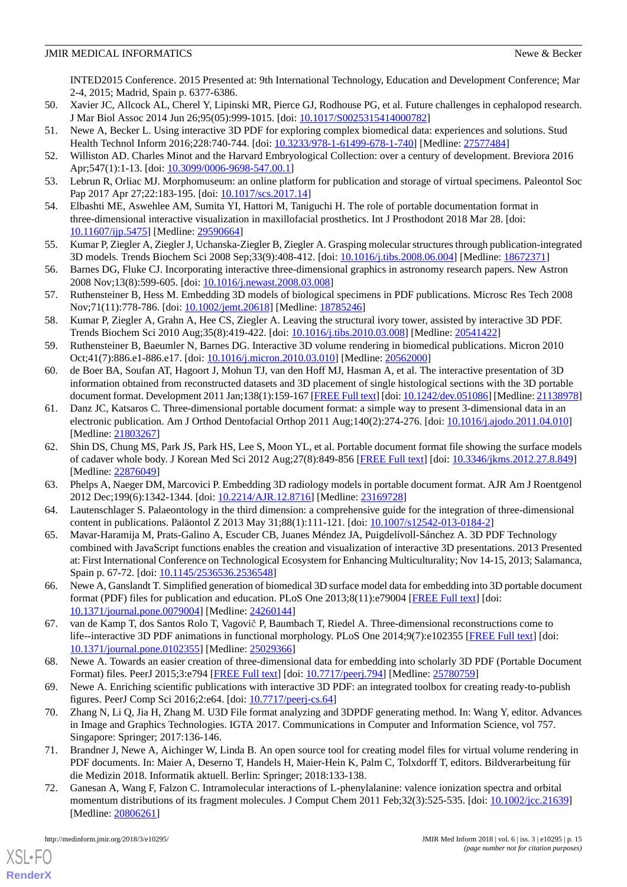INTED2015 Conference. 2015 Presented at: 9th International Technology, Education and Development Conference; Mar 2-4, 2015; Madrid, Spain p. 6377-6386.

- 50. Xavier JC, Allcock AL, Cherel Y, Lipinski MR, Pierce GJ, Rodhouse PG, et al. Future challenges in cephalopod research. J Mar Biol Assoc 2014 Jun 26;95(05):999-1015. [doi: [10.1017/S0025315414000782](http://dx.doi.org/10.1017/S0025315414000782)]
- 51. Newe A, Becker L. Using interactive 3D PDF for exploring complex biomedical data: experiences and solutions. Stud Health Technol Inform 2016;228:740-744. [doi: [10.3233/978-1-61499-678-1-740\]](http://dx.doi.org/10.3233/978-1-61499-678-1-740) [Medline: [27577484](http://www.ncbi.nlm.nih.gov/entrez/query.fcgi?cmd=Retrieve&db=PubMed&list_uids=27577484&dopt=Abstract)]
- 52. Williston AD. Charles Minot and the Harvard Embryological Collection: over a century of development. Breviora 2016 Apr;547(1):1-13. [doi: [10.3099/0006-9698-547.00.1\]](http://dx.doi.org/10.3099/0006-9698-547.00.1)
- <span id="page-14-0"></span>53. Lebrun R, Orliac MJ. Morphomuseum: an online platform for publication and storage of virtual specimens. Paleontol Soc Pap 2017 Apr 27;22:183-195. [doi: [10.1017/scs.2017.14](http://dx.doi.org/10.1017/scs.2017.14)]
- <span id="page-14-1"></span>54. Elbashti ME, Aswehlee AM, Sumita YI, Hattori M, Taniguchi H. The role of portable documentation format in three-dimensional interactive visualization in maxillofacial prosthetics. Int J Prosthodont 2018 Mar 28. [doi: [10.11607/ijp.5475\]](http://dx.doi.org/10.11607/ijp.5475) [Medline: [29590664\]](http://www.ncbi.nlm.nih.gov/entrez/query.fcgi?cmd=Retrieve&db=PubMed&list_uids=29590664&dopt=Abstract)
- <span id="page-14-15"></span>55. Kumar P, Ziegler A, Ziegler J, Uchanska-Ziegler B, Ziegler A. Grasping molecular structures through publication-integrated 3D models. Trends Biochem Sci 2008 Sep;33(9):408-412. [doi: [10.1016/j.tibs.2008.06.004\]](http://dx.doi.org/10.1016/j.tibs.2008.06.004) [Medline: [18672371\]](http://www.ncbi.nlm.nih.gov/entrez/query.fcgi?cmd=Retrieve&db=PubMed&list_uids=18672371&dopt=Abstract)
- <span id="page-14-5"></span>56. Barnes DG, Fluke CJ. Incorporating interactive three-dimensional graphics in astronomy research papers. New Astron 2008 Nov;13(8):599-605. [doi: [10.1016/j.newast.2008.03.008\]](http://dx.doi.org/10.1016/j.newast.2008.03.008)
- <span id="page-14-3"></span>57. Ruthensteiner B, Hess M. Embedding 3D models of biological specimens in PDF publications. Microsc Res Tech 2008 Nov;71(11):778-786. [doi: [10.1002/jemt.20618](http://dx.doi.org/10.1002/jemt.20618)] [Medline: [18785246\]](http://www.ncbi.nlm.nih.gov/entrez/query.fcgi?cmd=Retrieve&db=PubMed&list_uids=18785246&dopt=Abstract)
- <span id="page-14-9"></span>58. Kumar P, Ziegler A, Grahn A, Hee CS, Ziegler A. Leaving the structural ivory tower, assisted by interactive 3D PDF. Trends Biochem Sci 2010 Aug;35(8):419-422. [doi: [10.1016/j.tibs.2010.03.008](http://dx.doi.org/10.1016/j.tibs.2010.03.008)] [Medline: [20541422](http://www.ncbi.nlm.nih.gov/entrez/query.fcgi?cmd=Retrieve&db=PubMed&list_uids=20541422&dopt=Abstract)]
- <span id="page-14-10"></span>59. Ruthensteiner B, Baeumler N, Barnes DG. Interactive 3D volume rendering in biomedical publications. Micron 2010 Oct;41(7):886.e1-886.e17. [doi: [10.1016/j.micron.2010.03.010](http://dx.doi.org/10.1016/j.micron.2010.03.010)] [Medline: [20562000\]](http://www.ncbi.nlm.nih.gov/entrez/query.fcgi?cmd=Retrieve&db=PubMed&list_uids=20562000&dopt=Abstract)
- <span id="page-14-6"></span>60. de Boer BA, Soufan AT, Hagoort J, Mohun TJ, van den Hoff MJ, Hasman A, et al. The interactive presentation of 3D information obtained from reconstructed datasets and 3D placement of single histological sections with the 3D portable document format. Development 2011 Jan;138(1):159-167 [\[FREE Full text](http://dev.biologists.org/cgi/pmidlookup?view=long&pmid=21138978)] [doi: [10.1242/dev.051086\]](http://dx.doi.org/10.1242/dev.051086) [Medline: [21138978\]](http://www.ncbi.nlm.nih.gov/entrez/query.fcgi?cmd=Retrieve&db=PubMed&list_uids=21138978&dopt=Abstract)
- <span id="page-14-14"></span>61. Danz JC, Katsaros C. Three-dimensional portable document format: a simple way to present 3-dimensional data in an electronic publication. Am J Orthod Dentofacial Orthop 2011 Aug;140(2):274-276. [doi: [10.1016/j.ajodo.2011.04.010\]](http://dx.doi.org/10.1016/j.ajodo.2011.04.010) [Medline: [21803267](http://www.ncbi.nlm.nih.gov/entrez/query.fcgi?cmd=Retrieve&db=PubMed&list_uids=21803267&dopt=Abstract)]
- <span id="page-14-11"></span><span id="page-14-7"></span>62. Shin DS, Chung MS, Park JS, Park HS, Lee S, Moon YL, et al. Portable document format file showing the surface models of cadaver whole body. J Korean Med Sci 2012 Aug;27(8):849-856 [\[FREE Full text](https://jkms.org/DOIx.php?id=10.3346/jkms.2012.27.8.849)] [doi: [10.3346/jkms.2012.27.8.849](http://dx.doi.org/10.3346/jkms.2012.27.8.849)] [Medline: [22876049](http://www.ncbi.nlm.nih.gov/entrez/query.fcgi?cmd=Retrieve&db=PubMed&list_uids=22876049&dopt=Abstract)]
- <span id="page-14-16"></span>63. Phelps A, Naeger DM, Marcovici P. Embedding 3D radiology models in portable document format. AJR Am J Roentgenol 2012 Dec;199(6):1342-1344. [doi: [10.2214/AJR.12.8716](http://dx.doi.org/10.2214/AJR.12.8716)] [Medline: [23169728\]](http://www.ncbi.nlm.nih.gov/entrez/query.fcgi?cmd=Retrieve&db=PubMed&list_uids=23169728&dopt=Abstract)
- 64. Lautenschlager S. Palaeontology in the third dimension: a comprehensive guide for the integration of three-dimensional content in publications. Paläontol Z 2013 May 31;88(1):111-121. [doi: [10.1007/s12542-013-0184-2\]](http://dx.doi.org/10.1007/s12542-013-0184-2)
- <span id="page-14-12"></span>65. Mavar-Haramija M, Prats-Galino A, Escuder CB, Juanes Méndez JA, Puigdelívoll-Sánchez A. 3D PDF Technology combined with JavaScript functions enables the creation and visualization of interactive 3D presentations. 2013 Presented at: First International Conference on Technological Ecosystem for Enhancing Multiculturality; Nov 14-15, 2013; Salamanca, Spain p. 67-72. [doi: [10.1145/2536536.2536548](http://dx.doi.org/10.1145/2536536.2536548)]
- <span id="page-14-13"></span><span id="page-14-8"></span>66. Newe A, Ganslandt T. Simplified generation of biomedical 3D surface model data for embedding into 3D portable document format (PDF) files for publication and education. PLoS One 2013;8(11):e79004 [[FREE Full text\]](http://dx.plos.org/10.1371/journal.pone.0079004) [doi: [10.1371/journal.pone.0079004\]](http://dx.doi.org/10.1371/journal.pone.0079004) [Medline: [24260144](http://www.ncbi.nlm.nih.gov/entrez/query.fcgi?cmd=Retrieve&db=PubMed&list_uids=24260144&dopt=Abstract)]
- <span id="page-14-18"></span><span id="page-14-17"></span>67. van de Kamp T, dos Santos Rolo T, Vagovič P, Baumbach T, Riedel A. Three-dimensional reconstructions come to life--interactive 3D PDF animations in functional morphology. PLoS One 2014;9(7):e102355 [[FREE Full text](http://dx.plos.org/10.1371/journal.pone.0102355)] [doi: [10.1371/journal.pone.0102355\]](http://dx.doi.org/10.1371/journal.pone.0102355) [Medline: [25029366](http://www.ncbi.nlm.nih.gov/entrez/query.fcgi?cmd=Retrieve&db=PubMed&list_uids=25029366&dopt=Abstract)]
- 68. Newe A. Towards an easier creation of three-dimensional data for embedding into scholarly 3D PDF (Portable Document Format) files. PeerJ 2015;3:e794 [\[FREE Full text\]](https://dx.doi.org/10.7717/peerj.794) [doi: [10.7717/peerj.794\]](http://dx.doi.org/10.7717/peerj.794) [Medline: [25780759](http://www.ncbi.nlm.nih.gov/entrez/query.fcgi?cmd=Retrieve&db=PubMed&list_uids=25780759&dopt=Abstract)]
- <span id="page-14-2"></span>69. Newe A. Enriching scientific publications with interactive 3D PDF: an integrated toolbox for creating ready-to-publish figures. PeerJ Comp Sci 2016;2:e64. [doi: [10.7717/peerj-cs.64](http://dx.doi.org/10.7717/peerj-cs.64)]
- <span id="page-14-4"></span>70. Zhang N, Li Q, Jia H, Zhang M. U3D File format analyzing and 3DPDF generating method. In: Wang Y, editor. Advances in Image and Graphics Technologies. IGTA 2017. Communications in Computer and Information Science, vol 757. Singapore: Springer; 2017:136-146.
- 71. Brandner J, Newe A, Aichinger W, Linda B. An open source tool for creating model files for virtual volume rendering in PDF documents. In: Maier A, Deserno T, Handels H, Maier-Hein K, Palm C, Tolxdorff T, editors. Bildverarbeitung für die Medizin 2018. Informatik aktuell. Berlin: Springer; 2018:133-138.
- 72. Ganesan A, Wang F, Falzon C. Intramolecular interactions of L-phenylalanine: valence ionization spectra and orbital momentum distributions of its fragment molecules. J Comput Chem 2011 Feb;32(3):525-535. [doi: [10.1002/jcc.21639](http://dx.doi.org/10.1002/jcc.21639)] [Medline: [20806261](http://www.ncbi.nlm.nih.gov/entrez/query.fcgi?cmd=Retrieve&db=PubMed&list_uids=20806261&dopt=Abstract)]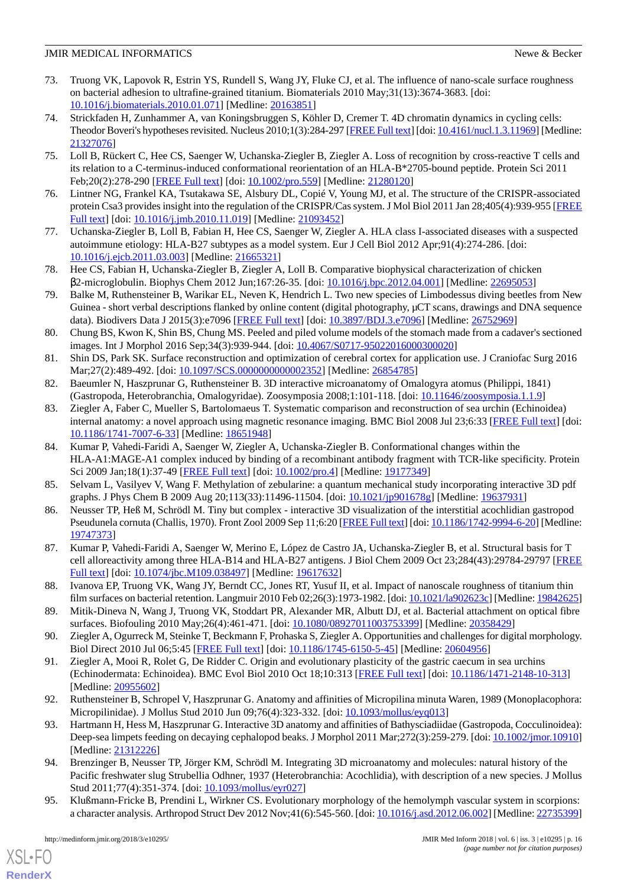- <span id="page-15-2"></span>73. Truong VK, Lapovok R, Estrin YS, Rundell S, Wang JY, Fluke CJ, et al. The influence of nano-scale surface roughness on bacterial adhesion to ultrafine-grained titanium. Biomaterials 2010 May;31(13):3674-3683. [doi: [10.1016/j.biomaterials.2010.01.071](http://dx.doi.org/10.1016/j.biomaterials.2010.01.071)] [Medline: [20163851\]](http://www.ncbi.nlm.nih.gov/entrez/query.fcgi?cmd=Retrieve&db=PubMed&list_uids=20163851&dopt=Abstract)
- 74. Strickfaden H, Zunhammer A, van Koningsbruggen S, Köhler D, Cremer T. 4D chromatin dynamics in cycling cells: Theodor Boveri's hypotheses revisited. Nucleus 2010;1(3):284-297 [\[FREE Full text](http://europepmc.org/abstract/MED/21327076)] [doi: [10.4161/nucl.1.3.11969\]](http://dx.doi.org/10.4161/nucl.1.3.11969) [Medline: [21327076](http://www.ncbi.nlm.nih.gov/entrez/query.fcgi?cmd=Retrieve&db=PubMed&list_uids=21327076&dopt=Abstract)]
- 75. Loll B, Rückert C, Hee CS, Saenger W, Uchanska-Ziegler B, Ziegler A. Loss of recognition by cross-reactive T cells and its relation to a C-terminus-induced conformational reorientation of an HLA-B\*2705-bound peptide. Protein Sci 2011 Feb;20(2):278-290 [[FREE Full text](http://dx.doi.org/10.1002/pro.559)] [doi: [10.1002/pro.559\]](http://dx.doi.org/10.1002/pro.559) [Medline: [21280120](http://www.ncbi.nlm.nih.gov/entrez/query.fcgi?cmd=Retrieve&db=PubMed&list_uids=21280120&dopt=Abstract)]
- 76. Lintner NG, Frankel KA, Tsutakawa SE, Alsbury DL, Copié V, Young MJ, et al. The structure of the CRISPR-associated protein Csa3 provides insight into the regulation of the CRISPR/Cas system. J Mol Biol 2011 Jan 28;405(4):939-955 [\[FREE](http://europepmc.org/abstract/MED/21093452) [Full text\]](http://europepmc.org/abstract/MED/21093452) [doi: [10.1016/j.jmb.2010.11.019](http://dx.doi.org/10.1016/j.jmb.2010.11.019)] [Medline: [21093452](http://www.ncbi.nlm.nih.gov/entrez/query.fcgi?cmd=Retrieve&db=PubMed&list_uids=21093452&dopt=Abstract)]
- 77. Uchanska-Ziegler B, Loll B, Fabian H, Hee CS, Saenger W, Ziegler A. HLA class I-associated diseases with a suspected autoimmune etiology: HLA-B27 subtypes as a model system. Eur J Cell Biol 2012 Apr;91(4):274-286. [doi: [10.1016/j.ejcb.2011.03.003\]](http://dx.doi.org/10.1016/j.ejcb.2011.03.003) [Medline: [21665321\]](http://www.ncbi.nlm.nih.gov/entrez/query.fcgi?cmd=Retrieve&db=PubMed&list_uids=21665321&dopt=Abstract)
- 78. Hee CS, Fabian H, Uchanska-Ziegler B, Ziegler A, Loll B. Comparative biophysical characterization of chicken β2-microglobulin. Biophys Chem 2012 Jun;167:26-35. [doi: [10.1016/j.bpc.2012.04.001](http://dx.doi.org/10.1016/j.bpc.2012.04.001)] [Medline: [22695053\]](http://www.ncbi.nlm.nih.gov/entrez/query.fcgi?cmd=Retrieve&db=PubMed&list_uids=22695053&dopt=Abstract)
- 79. Balke M, Ruthensteiner B, Warikar EL, Neven K, Hendrich L. Two new species of Limbodessus diving beetles from New Guinea - short verbal descriptions flanked by online content (digital photography, μCT scans, drawings and DNA sequence data). Biodivers Data J 2015(3):e7096 [[FREE Full text](http://europepmc.org/abstract/MED/26752969)] [doi: [10.3897/BDJ.3.e7096](http://dx.doi.org/10.3897/BDJ.3.e7096)] [Medline: [26752969\]](http://www.ncbi.nlm.nih.gov/entrez/query.fcgi?cmd=Retrieve&db=PubMed&list_uids=26752969&dopt=Abstract)
- <span id="page-15-1"></span><span id="page-15-0"></span>80. Chung BS, Kwon K, Shin BS, Chung MS. Peeled and piled volume models of the stomach made from a cadaver's sectioned images. Int J Morphol 2016 Sep;34(3):939-944. [doi: [10.4067/S0717-95022016000300020\]](http://dx.doi.org/10.4067/S0717-95022016000300020)
- 81. Shin DS, Park SK. Surface reconstruction and optimization of cerebral cortex for application use. J Craniofac Surg 2016 Mar;27(2):489-492. [doi: [10.1097/SCS.0000000000002352\]](http://dx.doi.org/10.1097/SCS.0000000000002352) [Medline: [26854785\]](http://www.ncbi.nlm.nih.gov/entrez/query.fcgi?cmd=Retrieve&db=PubMed&list_uids=26854785&dopt=Abstract)
- 82. Baeumler N, Haszprunar G, Ruthensteiner B. 3D interactive microanatomy of Omalogyra atomus (Philippi, 1841) (Gastropoda, Heterobranchia, Omalogyridae). Zoosymposia 2008;1:101-118. [doi: [10.11646/zoosymposia.1.1.9\]](http://dx.doi.org/10.11646/zoosymposia.1.1.9)
- 83. Ziegler A, Faber C, Mueller S, Bartolomaeus T. Systematic comparison and reconstruction of sea urchin (Echinoidea) internal anatomy: a novel approach using magnetic resonance imaging. BMC Biol 2008 Jul 23;6:33 [\[FREE Full text](https://bmcbiol.biomedcentral.com/articles/10.1186/1741-7007-6-33)] [doi: [10.1186/1741-7007-6-33\]](http://dx.doi.org/10.1186/1741-7007-6-33) [Medline: [18651948\]](http://www.ncbi.nlm.nih.gov/entrez/query.fcgi?cmd=Retrieve&db=PubMed&list_uids=18651948&dopt=Abstract)
- 84. Kumar P, Vahedi-Faridi A, Saenger W, Ziegler A, Uchanska-Ziegler B. Conformational changes within the HLA-A1:MAGE-A1 complex induced by binding of a recombinant antibody fragment with TCR-like specificity. Protein Sci 2009 Jan;18(1):37-49 [\[FREE Full text](http://dx.doi.org/10.1002/pro.4)] [doi: [10.1002/pro.4\]](http://dx.doi.org/10.1002/pro.4) [Medline: [19177349\]](http://www.ncbi.nlm.nih.gov/entrez/query.fcgi?cmd=Retrieve&db=PubMed&list_uids=19177349&dopt=Abstract)
- 85. Selvam L, Vasilyev V, Wang F. Methylation of zebularine: a quantum mechanical study incorporating interactive 3D pdf graphs. J Phys Chem B 2009 Aug 20;113(33):11496-11504. [doi: [10.1021/jp901678g](http://dx.doi.org/10.1021/jp901678g)] [Medline: [19637931](http://www.ncbi.nlm.nih.gov/entrez/query.fcgi?cmd=Retrieve&db=PubMed&list_uids=19637931&dopt=Abstract)]
- <span id="page-15-3"></span>86. Neusser TP, Heß M, Schrödl M. Tiny but complex - interactive 3D visualization of the interstitial acochlidian gastropod Pseudunela cornuta (Challis, 1970). Front Zool 2009 Sep 11;6:20 [[FREE Full text](https://frontiersinzoology.biomedcentral.com/articles/10.1186/1742-9994-6-20)] [doi: [10.1186/1742-9994-6-20\]](http://dx.doi.org/10.1186/1742-9994-6-20) [Medline: [19747373](http://www.ncbi.nlm.nih.gov/entrez/query.fcgi?cmd=Retrieve&db=PubMed&list_uids=19747373&dopt=Abstract)]
- 87. Kumar P, Vahedi-Faridi A, Saenger W, Merino E, López de Castro JA, Uchanska-Ziegler B, et al. Structural basis for T cell alloreactivity among three HLA-B14 and HLA-B27 antigens. J Biol Chem 2009 Oct 23;284(43):29784-29797 [\[FREE](http://www.jbc.org/cgi/pmidlookup?view=long&pmid=19617632) [Full text\]](http://www.jbc.org/cgi/pmidlookup?view=long&pmid=19617632) [doi: [10.1074/jbc.M109.038497\]](http://dx.doi.org/10.1074/jbc.M109.038497) [Medline: [19617632](http://www.ncbi.nlm.nih.gov/entrez/query.fcgi?cmd=Retrieve&db=PubMed&list_uids=19617632&dopt=Abstract)]
- 88. Ivanova EP, Truong VK, Wang JY, Berndt CC, Jones RT, Yusuf II, et al. Impact of nanoscale roughness of titanium thin film surfaces on bacterial retention. Langmuir 2010 Feb 02;26(3):1973-1982. [doi: [10.1021/la902623c](http://dx.doi.org/10.1021/la902623c)] [Medline: [19842625\]](http://www.ncbi.nlm.nih.gov/entrez/query.fcgi?cmd=Retrieve&db=PubMed&list_uids=19842625&dopt=Abstract)
- 89. Mitik-Dineva N, Wang J, Truong VK, Stoddart PR, Alexander MR, Albutt DJ, et al. Bacterial attachment on optical fibre surfaces. Biofouling 2010 May;26(4):461-471. [doi: [10.1080/08927011003753399](http://dx.doi.org/10.1080/08927011003753399)] [Medline: [20358429\]](http://www.ncbi.nlm.nih.gov/entrez/query.fcgi?cmd=Retrieve&db=PubMed&list_uids=20358429&dopt=Abstract)
- 90. Ziegler A, Ogurreck M, Steinke T, Beckmann F, Prohaska S, Ziegler A. Opportunities and challenges for digital morphology. Biol Direct 2010 Jul 06;5:45 [[FREE Full text](https://biologydirect.biomedcentral.com/articles/10.1186/1745-6150-5-45)] [doi: [10.1186/1745-6150-5-45\]](http://dx.doi.org/10.1186/1745-6150-5-45) [Medline: [20604956](http://www.ncbi.nlm.nih.gov/entrez/query.fcgi?cmd=Retrieve&db=PubMed&list_uids=20604956&dopt=Abstract)]
- 91. Ziegler A, Mooi R, Rolet G, De Ridder C. Origin and evolutionary plasticity of the gastric caecum in sea urchins (Echinodermata: Echinoidea). BMC Evol Biol 2010 Oct 18;10:313 [\[FREE Full text\]](https://bmcevolbiol.biomedcentral.com/articles/10.1186/1471-2148-10-313) [doi: [10.1186/1471-2148-10-313](http://dx.doi.org/10.1186/1471-2148-10-313)] [Medline: [20955602](http://www.ncbi.nlm.nih.gov/entrez/query.fcgi?cmd=Retrieve&db=PubMed&list_uids=20955602&dopt=Abstract)]
- 92. Ruthensteiner B, Schropel V, Haszprunar G. Anatomy and affinities of Micropilina minuta Waren, 1989 (Monoplacophora: Micropilinidae). J Mollus Stud 2010 Jun 09;76(4):323-332. [doi: [10.1093/mollus/eyq013\]](http://dx.doi.org/10.1093/mollus/eyq013)
- 93. Hartmann H, Hess M, Haszprunar G. Interactive 3D anatomy and affinities of Bathysciadiidae (Gastropoda, Cocculinoidea): Deep-sea limpets feeding on decaying cephalopod beaks. J Morphol 2011 Mar; 272(3): 259-279. [doi: [10.1002/jmor.10910](http://dx.doi.org/10.1002/jmor.10910)] [Medline: [21312226](http://www.ncbi.nlm.nih.gov/entrez/query.fcgi?cmd=Retrieve&db=PubMed&list_uids=21312226&dopt=Abstract)]
- 94. Brenzinger B, Neusser TP, Jörger KM, Schrödl M. Integrating 3D microanatomy and molecules: natural history of the Pacific freshwater slug Strubellia Odhner, 1937 (Heterobranchia: Acochlidia), with description of a new species. J Mollus Stud 2011;77(4):351-374. [doi: [10.1093/mollus/eyr027](http://dx.doi.org/10.1093/mollus/eyr027)]
- 95. Klußmann-Fricke B, Prendini L, Wirkner CS. Evolutionary morphology of the hemolymph vascular system in scorpions: a character analysis. Arthropod Struct Dev 2012 Nov;41(6):545-560. [doi: [10.1016/j.asd.2012.06.002\]](http://dx.doi.org/10.1016/j.asd.2012.06.002) [Medline: [22735399](http://www.ncbi.nlm.nih.gov/entrez/query.fcgi?cmd=Retrieve&db=PubMed&list_uids=22735399&dopt=Abstract)]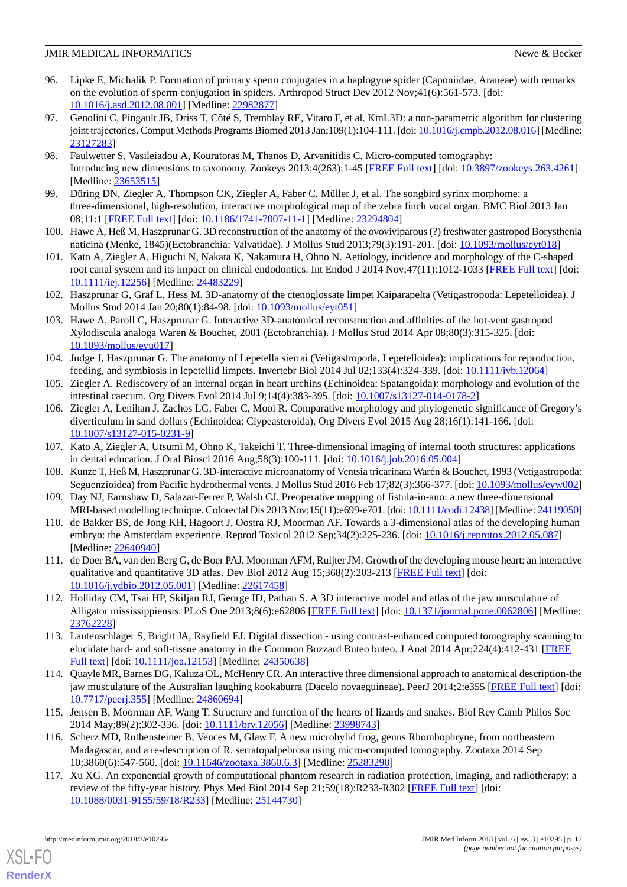- 96. Lipke E, Michalik P. Formation of primary sperm conjugates in a haplogyne spider (Caponiidae, Araneae) with remarks on the evolution of sperm conjugation in spiders. Arthropod Struct Dev 2012 Nov;41(6):561-573. [doi: [10.1016/j.asd.2012.08.001\]](http://dx.doi.org/10.1016/j.asd.2012.08.001) [Medline: [22982877\]](http://www.ncbi.nlm.nih.gov/entrez/query.fcgi?cmd=Retrieve&db=PubMed&list_uids=22982877&dopt=Abstract)
- 97. Genolini C, Pingault JB, Driss T, Côté S, Tremblay RE, Vitaro F, et al. KmL3D: a non-parametric algorithm for clustering joint trajectories. Comput Methods Programs Biomed 2013 Jan;109(1):104-111. [doi: [10.1016/j.cmpb.2012.08.016](http://dx.doi.org/10.1016/j.cmpb.2012.08.016)] [Medline: [23127283](http://www.ncbi.nlm.nih.gov/entrez/query.fcgi?cmd=Retrieve&db=PubMed&list_uids=23127283&dopt=Abstract)]
- 98. Faulwetter S, Vasileiadou A, Kouratoras M, Thanos D, Arvanitidis C. Micro-computed tomography: Introducing new dimensions to taxonomy. Zookeys 2013;4(263):1-45 [\[FREE Full text\]](http://europepmc.org/abstract/MED/23653515) [doi: [10.3897/zookeys.263.4261\]](http://dx.doi.org/10.3897/zookeys.263.4261) [Medline: [23653515](http://www.ncbi.nlm.nih.gov/entrez/query.fcgi?cmd=Retrieve&db=PubMed&list_uids=23653515&dopt=Abstract)]
- 99. Düring DN, Ziegler A, Thompson CK, Ziegler A, Faber C, Müller J, et al. The songbird syrinx morphome: a three-dimensional, high-resolution, interactive morphological map of the zebra finch vocal organ. BMC Biol 2013 Jan 08;11:1 [[FREE Full text](https://bmcbiol.biomedcentral.com/articles/10.1186/1741-7007-11-1)] [doi: [10.1186/1741-7007-11-1\]](http://dx.doi.org/10.1186/1741-7007-11-1) [Medline: [23294804\]](http://www.ncbi.nlm.nih.gov/entrez/query.fcgi?cmd=Retrieve&db=PubMed&list_uids=23294804&dopt=Abstract)
- 100. Hawe A, Heß M, Haszprunar G. 3D reconstruction of the anatomy of the ovoviviparous (?) freshwater gastropod Borysthenia naticina (Menke, 1845)(Ectobranchia: Valvatidae). J Mollus Stud 2013;79(3):191-201. [doi: [10.1093/mollus/eyt018](http://dx.doi.org/10.1093/mollus/eyt018)]
- 101. Kato A, Ziegler A, Higuchi N, Nakata K, Nakamura H, Ohno N. Aetiology, incidence and morphology of the C-shaped root canal system and its impact on clinical endodontics. Int Endod J 2014 Nov;47(11):1012-1033 [[FREE Full text](https://dx.doi.org/10.1111/iej.12256)] [doi: [10.1111/iej.12256](http://dx.doi.org/10.1111/iej.12256)] [Medline: [24483229](http://www.ncbi.nlm.nih.gov/entrez/query.fcgi?cmd=Retrieve&db=PubMed&list_uids=24483229&dopt=Abstract)]
- 102. Haszprunar G, Graf L, Hess M. 3D-anatomy of the ctenoglossate limpet Kaiparapelta (Vetigastropoda: Lepetelloidea). J Mollus Stud 2014 Jan 20;80(1):84-98. [doi: [10.1093/mollus/eyt051\]](http://dx.doi.org/10.1093/mollus/eyt051)
- 103. Hawe A, Paroll C, Haszprunar G. Interactive 3D-anatomical reconstruction and affinities of the hot-vent gastropod Xylodiscula analoga Waren & Bouchet, 2001 (Ectobranchia). J Mollus Stud 2014 Apr 08;80(3):315-325. [doi: [10.1093/mollus/eyu017](http://dx.doi.org/10.1093/mollus/eyu017)]
- 104. Judge J, Haszprunar G. The anatomy of Lepetella sierrai (Vetigastropoda, Lepetelloidea): implications for reproduction, feeding, and symbiosis in lepetellid limpets. Invertebr Biol 2014 Jul 02;133(4):324-339. [doi: [10.1111/ivb.12064](http://dx.doi.org/10.1111/ivb.12064)]
- 105. Ziegler A. Rediscovery of an internal organ in heart urchins (Echinoidea: Spatangoida): morphology and evolution of the intestinal caecum. Org Divers Evol 2014 Jul 9;14(4):383-395. [doi: [10.1007/s13127-014-0178-2\]](http://dx.doi.org/10.1007/s13127-014-0178-2)
- <span id="page-16-0"></span>106. Ziegler A, Lenihan J, Zachos LG, Faber C, Mooi R. Comparative morphology and phylogenetic significance of Gregory's diverticulum in sand dollars (Echinoidea: Clypeasteroida). Org Divers Evol 2015 Aug 28;16(1):141-166. [doi: [10.1007/s13127-015-0231-9\]](http://dx.doi.org/10.1007/s13127-015-0231-9)
- <span id="page-16-1"></span>107. Kato A, Ziegler A, Utsumi M, Ohno K, Takeichi T. Three-dimensional imaging of internal tooth structures: applications in dental education. J Oral Biosci 2016 Aug;58(3):100-111. [doi: [10.1016/j.job.2016.05.004](http://dx.doi.org/10.1016/j.job.2016.05.004)]
- <span id="page-16-2"></span>108. Kunze T, Heß M, Haszprunar G. 3D-interactive microanatomy of Ventsia tricarinata Warén & Bouchet, 1993 (Vetigastropoda: Seguenzioidea) from Pacific hydrothermal vents. J Mollus Stud 2016 Feb 17;82(3):366-377. [doi: [10.1093/mollus/eyw002](http://dx.doi.org/10.1093/mollus/eyw002)]
- 109. Day NJ, Earnshaw D, Salazar-Ferrer P, Walsh CJ. Preoperative mapping of fistula-in-ano: a new three-dimensional MRI-based modelling technique. Colorectal Dis 2013 Nov;15(11):e699-e701. [doi: [10.1111/codi.12438](http://dx.doi.org/10.1111/codi.12438)] [Medline: [24119050\]](http://www.ncbi.nlm.nih.gov/entrez/query.fcgi?cmd=Retrieve&db=PubMed&list_uids=24119050&dopt=Abstract)
- 110. de Bakker BS, de Jong KH, Hagoort J, Oostra RJ, Moorman AF. Towards a 3-dimensional atlas of the developing human embryo: the Amsterdam experience. Reprod Toxicol 2012 Sep;34(2):225-236. [doi: [10.1016/j.reprotox.2012.05.087](http://dx.doi.org/10.1016/j.reprotox.2012.05.087)] [Medline: [22640940](http://www.ncbi.nlm.nih.gov/entrez/query.fcgi?cmd=Retrieve&db=PubMed&list_uids=22640940&dopt=Abstract)]
- 111. de Doer BA, van den Berg G, de Boer PAJ, Moorman AFM, Ruijter JM. Growth of the developing mouse heart: an interactive qualitative and quantitative 3D atlas. Dev Biol 2012 Aug 15;368(2):203-213 [\[FREE Full text\]](http://linkinghub.elsevier.com/retrieve/pii/S0012-1606(12)00247-3) [doi: [10.1016/j.ydbio.2012.05.001](http://dx.doi.org/10.1016/j.ydbio.2012.05.001)] [Medline: [22617458](http://www.ncbi.nlm.nih.gov/entrez/query.fcgi?cmd=Retrieve&db=PubMed&list_uids=22617458&dopt=Abstract)]
- 112. Holliday CM, Tsai HP, Skiljan RJ, George ID, Pathan S. A 3D interactive model and atlas of the jaw musculature of Alligator mississippiensis. PLoS One 2013;8(6):e62806 [[FREE Full text](http://dx.plos.org/10.1371/journal.pone.0062806)] [doi: [10.1371/journal.pone.0062806\]](http://dx.doi.org/10.1371/journal.pone.0062806) [Medline: [23762228](http://www.ncbi.nlm.nih.gov/entrez/query.fcgi?cmd=Retrieve&db=PubMed&list_uids=23762228&dopt=Abstract)]
- 113. Lautenschlager S, Bright JA, Rayfield EJ. Digital dissection using contrast-enhanced computed tomography scanning to elucidate hard- and soft-tissue anatomy in the Common Buzzard Buteo buteo. J Anat 2014 Apr;224(4):412-431 [[FREE](https://dx.doi.org/10.1111/joa.12153) [Full text\]](https://dx.doi.org/10.1111/joa.12153) [doi: [10.1111/joa.12153](http://dx.doi.org/10.1111/joa.12153)] [Medline: [24350638\]](http://www.ncbi.nlm.nih.gov/entrez/query.fcgi?cmd=Retrieve&db=PubMed&list_uids=24350638&dopt=Abstract)
- 114. Quayle MR, Barnes DG, Kaluza OL, McHenry CR. An interactive three dimensional approach to anatomical description-the jaw musculature of the Australian laughing kookaburra (Dacelo novaeguineae). PeerJ 2014;2:e355 [\[FREE Full text\]](https://dx.doi.org/10.7717/peerj.355) [doi: [10.7717/peerj.355](http://dx.doi.org/10.7717/peerj.355)] [Medline: [24860694](http://www.ncbi.nlm.nih.gov/entrez/query.fcgi?cmd=Retrieve&db=PubMed&list_uids=24860694&dopt=Abstract)]
- 115. Jensen B, Moorman AF, Wang T. Structure and function of the hearts of lizards and snakes. Biol Rev Camb Philos Soc 2014 May;89(2):302-336. [doi: [10.1111/brv.12056\]](http://dx.doi.org/10.1111/brv.12056) [Medline: [23998743\]](http://www.ncbi.nlm.nih.gov/entrez/query.fcgi?cmd=Retrieve&db=PubMed&list_uids=23998743&dopt=Abstract)
- 116. Scherz MD, Ruthensteiner B, Vences M, Glaw F. A new microhylid frog, genus Rhombophryne, from northeastern Madagascar, and a re-description of R. serratopalpebrosa using micro-computed tomography. Zootaxa 2014 Sep 10;3860(6):547-560. [doi: [10.11646/zootaxa.3860.6.3](http://dx.doi.org/10.11646/zootaxa.3860.6.3)] [Medline: [25283290](http://www.ncbi.nlm.nih.gov/entrez/query.fcgi?cmd=Retrieve&db=PubMed&list_uids=25283290&dopt=Abstract)]
- 117. Xu XG. An exponential growth of computational phantom research in radiation protection, imaging, and radiotherapy: a review of the fifty-year history. Phys Med Biol 2014 Sep 21;59(18):R233-R302 [[FREE Full text](http://europepmc.org/abstract/MED/25144730)] [doi: [10.1088/0031-9155/59/18/R233](http://dx.doi.org/10.1088/0031-9155/59/18/R233)] [Medline: [25144730\]](http://www.ncbi.nlm.nih.gov/entrez/query.fcgi?cmd=Retrieve&db=PubMed&list_uids=25144730&dopt=Abstract)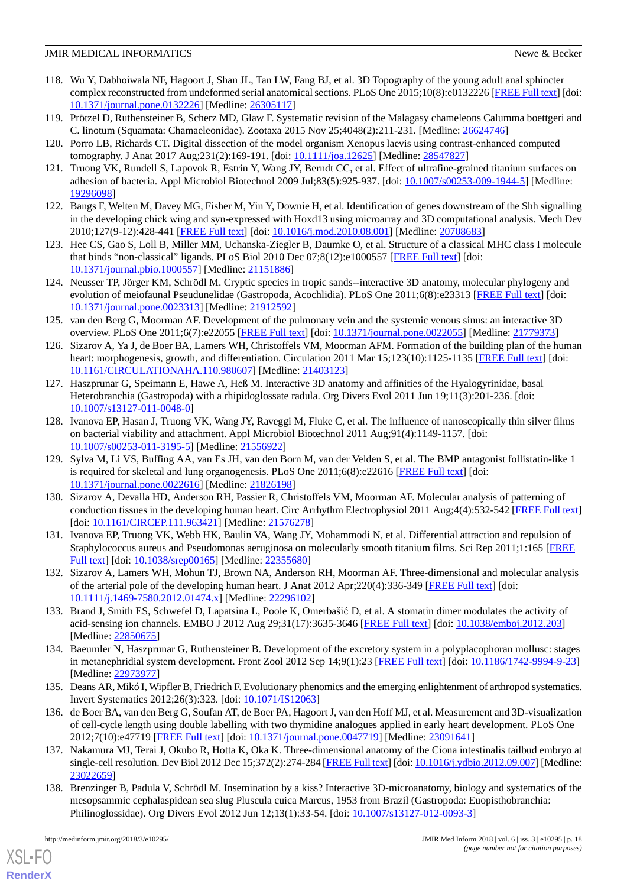- 118. Wu Y, Dabhoiwala NF, Hagoort J, Shan JL, Tan LW, Fang BJ, et al. 3D Topography of the young adult anal sphincter complex reconstructed from undeformed serial anatomical sections. PLoS One 2015;10(8):e0132226 [[FREE Full text\]](http://dx.plos.org/10.1371/journal.pone.0132226) [doi: [10.1371/journal.pone.0132226\]](http://dx.doi.org/10.1371/journal.pone.0132226) [Medline: [26305117](http://www.ncbi.nlm.nih.gov/entrez/query.fcgi?cmd=Retrieve&db=PubMed&list_uids=26305117&dopt=Abstract)]
- 119. Prötzel D, Ruthensteiner B, Scherz MD, Glaw F. Systematic revision of the Malagasy chameleons Calumma boettgeri and C. linotum (Squamata: Chamaeleonidae). Zootaxa 2015 Nov 25;4048(2):211-231. [Medline: [26624746\]](http://www.ncbi.nlm.nih.gov/entrez/query.fcgi?cmd=Retrieve&db=PubMed&list_uids=26624746&dopt=Abstract)
- <span id="page-17-0"></span>120. Porro LB, Richards CT. Digital dissection of the model organism Xenopus laevis using contrast-enhanced computed tomography. J Anat 2017 Aug;231(2):169-191. [doi: [10.1111/joa.12625](http://dx.doi.org/10.1111/joa.12625)] [Medline: [28547827\]](http://www.ncbi.nlm.nih.gov/entrez/query.fcgi?cmd=Retrieve&db=PubMed&list_uids=28547827&dopt=Abstract)
- 121. Truong VK, Rundell S, Lapovok R, Estrin Y, Wang JY, Berndt CC, et al. Effect of ultrafine-grained titanium surfaces on adhesion of bacteria. Appl Microbiol Biotechnol 2009 Jul;83(5):925-937. [doi: [10.1007/s00253-009-1944-5\]](http://dx.doi.org/10.1007/s00253-009-1944-5) [Medline: [19296098](http://www.ncbi.nlm.nih.gov/entrez/query.fcgi?cmd=Retrieve&db=PubMed&list_uids=19296098&dopt=Abstract)]
- 122. Bangs F, Welten M, Davey MG, Fisher M, Yin Y, Downie H, et al. Identification of genes downstream of the Shh signalling in the developing chick wing and syn-expressed with Hoxd13 using microarray and 3D computational analysis. Mech Dev 2010;127(9-12):428-441 [\[FREE Full text\]](http://linkinghub.elsevier.com/retrieve/pii/S0925-4773(10)00055-9) [doi: [10.1016/j.mod.2010.08.001\]](http://dx.doi.org/10.1016/j.mod.2010.08.001) [Medline: [20708683\]](http://www.ncbi.nlm.nih.gov/entrez/query.fcgi?cmd=Retrieve&db=PubMed&list_uids=20708683&dopt=Abstract)
- 123. Hee CS, Gao S, Loll B, Miller MM, Uchanska-Ziegler B, Daumke O, et al. Structure of a classical MHC class I molecule that binds "non-classical" ligands. PLoS Biol 2010 Dec 07;8(12):e1000557 [[FREE Full text](http://dx.plos.org/10.1371/journal.pbio.1000557)] [doi: [10.1371/journal.pbio.1000557\]](http://dx.doi.org/10.1371/journal.pbio.1000557) [Medline: [21151886\]](http://www.ncbi.nlm.nih.gov/entrez/query.fcgi?cmd=Retrieve&db=PubMed&list_uids=21151886&dopt=Abstract)
- 124. Neusser TP, Jörger KM, Schrödl M. Cryptic species in tropic sands--interactive 3D anatomy, molecular phylogeny and evolution of meiofaunal Pseudunelidae (Gastropoda, Acochlidia). PLoS One 2011;6(8):e23313 [[FREE Full text](http://dx.plos.org/10.1371/journal.pone.0023313)] [doi: [10.1371/journal.pone.0023313\]](http://dx.doi.org/10.1371/journal.pone.0023313) [Medline: [21912592](http://www.ncbi.nlm.nih.gov/entrez/query.fcgi?cmd=Retrieve&db=PubMed&list_uids=21912592&dopt=Abstract)]
- 125. van den Berg G, Moorman AF. Development of the pulmonary vein and the systemic venous sinus: an interactive 3D overview. PLoS One 2011;6(7):e22055 [[FREE Full text](http://dx.plos.org/10.1371/journal.pone.0022055)] [doi: [10.1371/journal.pone.0022055\]](http://dx.doi.org/10.1371/journal.pone.0022055) [Medline: [21779373](http://www.ncbi.nlm.nih.gov/entrez/query.fcgi?cmd=Retrieve&db=PubMed&list_uids=21779373&dopt=Abstract)]
- 126. Sizarov A, Ya J, de Boer BA, Lamers WH, Christoffels VM, Moorman AFM. Formation of the building plan of the human heart: morphogenesis, growth, and differentiation. Circulation 2011 Mar 15;123(10):1125-1135 [[FREE Full text](http://circ.ahajournals.org/cgi/pmidlookup?view=long&pmid=21403123)] [doi: [10.1161/CIRCULATIONAHA.110.980607\]](http://dx.doi.org/10.1161/CIRCULATIONAHA.110.980607) [Medline: [21403123\]](http://www.ncbi.nlm.nih.gov/entrez/query.fcgi?cmd=Retrieve&db=PubMed&list_uids=21403123&dopt=Abstract)
- <span id="page-17-1"></span>127. Haszprunar G, Speimann E, Hawe A, Heß M. Interactive 3D anatomy and affinities of the Hyalogyrinidae, basal Heterobranchia (Gastropoda) with a rhipidoglossate radula. Org Divers Evol 2011 Jun 19;11(3):201-236. [doi: [10.1007/s13127-011-0048-0\]](http://dx.doi.org/10.1007/s13127-011-0048-0)
- 128. Ivanova EP, Hasan J, Truong VK, Wang JY, Raveggi M, Fluke C, et al. The influence of nanoscopically thin silver films on bacterial viability and attachment. Appl Microbiol Biotechnol 2011 Aug;91(4):1149-1157. [doi: [10.1007/s00253-011-3195-5\]](http://dx.doi.org/10.1007/s00253-011-3195-5) [Medline: [21556922](http://www.ncbi.nlm.nih.gov/entrez/query.fcgi?cmd=Retrieve&db=PubMed&list_uids=21556922&dopt=Abstract)]
- 129. Sylva M, Li VS, Buffing AA, van Es JH, van den Born M, van der Velden S, et al. The BMP antagonist follistatin-like 1 is required for skeletal and lung organogenesis. PLoS One 2011;6(8):e22616 [\[FREE Full text\]](http://dx.plos.org/10.1371/journal.pone.0022616) [doi: [10.1371/journal.pone.0022616\]](http://dx.doi.org/10.1371/journal.pone.0022616) [Medline: [21826198](http://www.ncbi.nlm.nih.gov/entrez/query.fcgi?cmd=Retrieve&db=PubMed&list_uids=21826198&dopt=Abstract)]
- <span id="page-17-2"></span>130. Sizarov A, Devalla HD, Anderson RH, Passier R, Christoffels VM, Moorman AF. Molecular analysis of patterning of conduction tissues in the developing human heart. Circ Arrhythm Electrophysiol 2011 Aug;4(4):532-542 [[FREE Full text](http://circep.ahajournals.org/cgi/pmidlookup?view=long&pmid=21576278)] [doi: [10.1161/CIRCEP.111.963421](http://dx.doi.org/10.1161/CIRCEP.111.963421)] [Medline: [21576278\]](http://www.ncbi.nlm.nih.gov/entrez/query.fcgi?cmd=Retrieve&db=PubMed&list_uids=21576278&dopt=Abstract)
- 131. Ivanova EP, Truong VK, Webb HK, Baulin VA, Wang JY, Mohammodi N, et al. Differential attraction and repulsion of Staphylococcus aureus and Pseudomonas aeruginosa on molecularly smooth titanium films. Sci Rep 2011;1:165 [[FREE](http://dx.doi.org/10.1038/srep00165) [Full text\]](http://dx.doi.org/10.1038/srep00165) [doi: [10.1038/srep00165](http://dx.doi.org/10.1038/srep00165)] [Medline: [22355680\]](http://www.ncbi.nlm.nih.gov/entrez/query.fcgi?cmd=Retrieve&db=PubMed&list_uids=22355680&dopt=Abstract)
- 132. Sizarov A, Lamers WH, Mohun TJ, Brown NA, Anderson RH, Moorman AF. Three-dimensional and molecular analysis of the arterial pole of the developing human heart. J Anat 2012 Apr;220(4):336-349 [\[FREE Full text\]](http://dx.doi.org/10.1111/j.1469-7580.2012.01474.x) [doi: [10.1111/j.1469-7580.2012.01474.x\]](http://dx.doi.org/10.1111/j.1469-7580.2012.01474.x) [Medline: [22296102\]](http://www.ncbi.nlm.nih.gov/entrez/query.fcgi?cmd=Retrieve&db=PubMed&list_uids=22296102&dopt=Abstract)
- 133. Brand J, Smith ES, Schwefel D, Lapatsina L, Poole K, Omerbašić D, et al. A stomatin dimer modulates the activity of acid-sensing ion channels. EMBO J 2012 Aug 29;31(17):3635-3646 [[FREE Full text](http://emboj.embopress.org/cgi/pmidlookup?view=long&pmid=22850675)] [doi: [10.1038/emboj.2012.203\]](http://dx.doi.org/10.1038/emboj.2012.203) [Medline: [22850675](http://www.ncbi.nlm.nih.gov/entrez/query.fcgi?cmd=Retrieve&db=PubMed&list_uids=22850675&dopt=Abstract)]
- 134. Baeumler N, Haszprunar G, Ruthensteiner B. Development of the excretory system in a polyplacophoran mollusc: stages in metanephridial system development. Front Zool 2012 Sep 14;9(1):23 [\[FREE Full text\]](https://frontiersinzoology.biomedcentral.com/articles/10.1186/1742-9994-9-23) [doi: [10.1186/1742-9994-9-23](http://dx.doi.org/10.1186/1742-9994-9-23)] [Medline: [22973977](http://www.ncbi.nlm.nih.gov/entrez/query.fcgi?cmd=Retrieve&db=PubMed&list_uids=22973977&dopt=Abstract)]
- 135. Deans AR, Mikó I, Wipfler B, Friedrich F. Evolutionary phenomics and the emerging enlightenment of arthropod systematics. Invert Systematics 2012;26(3):323. [doi: [10.1071/IS12063](http://dx.doi.org/10.1071/IS12063)]
- 136. de Boer BA, van den Berg G, Soufan AT, de Boer PA, Hagoort J, van den Hoff MJ, et al. Measurement and 3D-visualization of cell-cycle length using double labelling with two thymidine analogues applied in early heart development. PLoS One 2012;7(10):e47719 [\[FREE Full text](http://dx.plos.org/10.1371/journal.pone.0047719)] [doi: [10.1371/journal.pone.0047719\]](http://dx.doi.org/10.1371/journal.pone.0047719) [Medline: [23091641\]](http://www.ncbi.nlm.nih.gov/entrez/query.fcgi?cmd=Retrieve&db=PubMed&list_uids=23091641&dopt=Abstract)
- 137. Nakamura MJ, Terai J, Okubo R, Hotta K, Oka K. Three-dimensional anatomy of the Ciona intestinalis tailbud embryo at single-cell resolution. Dev Biol 2012 Dec 15;372(2):274-284 [[FREE Full text](http://linkinghub.elsevier.com/retrieve/pii/S0012-1606(12)00513-1)] [doi: [10.1016/j.ydbio.2012.09.007\]](http://dx.doi.org/10.1016/j.ydbio.2012.09.007) [Medline: [23022659](http://www.ncbi.nlm.nih.gov/entrez/query.fcgi?cmd=Retrieve&db=PubMed&list_uids=23022659&dopt=Abstract)]
- 138. Brenzinger B, Padula V, Schrödl M. Insemination by a kiss? Interactive 3D-microanatomy, biology and systematics of the mesopsammic cephalaspidean sea slug Pluscula cuica Marcus, 1953 from Brazil (Gastropoda: Euopisthobranchia: Philinoglossidae). Org Divers Evol 2012 Jun 12;13(1):33-54. [doi: [10.1007/s13127-012-0093-3\]](http://dx.doi.org/10.1007/s13127-012-0093-3)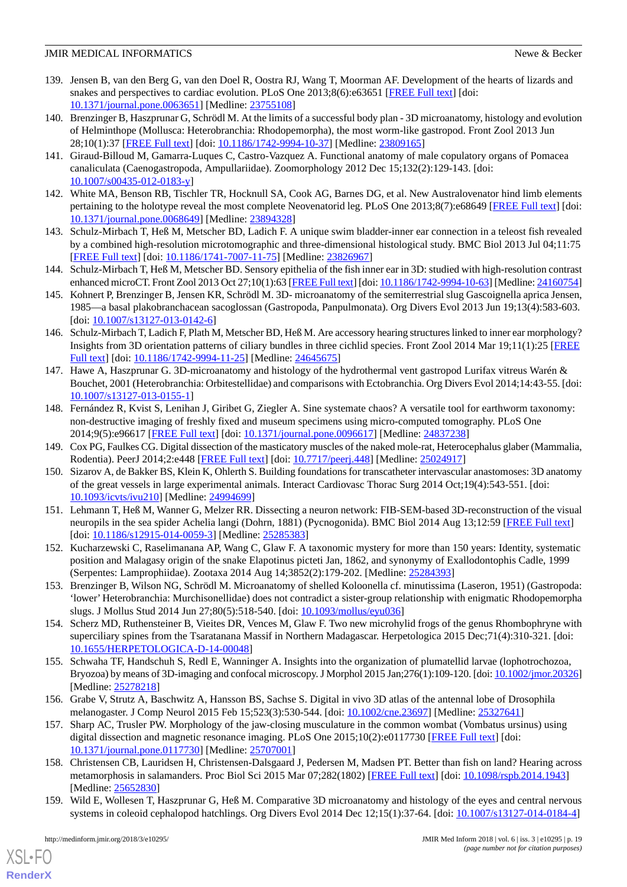- 139. Jensen B, van den Berg G, van den Doel R, Oostra RJ, Wang T, Moorman AF. Development of the hearts of lizards and snakes and perspectives to cardiac evolution. PLoS One 2013;8(6):e63651 [\[FREE Full text\]](http://dx.plos.org/10.1371/journal.pone.0063651) [doi: [10.1371/journal.pone.0063651\]](http://dx.doi.org/10.1371/journal.pone.0063651) [Medline: [23755108](http://www.ncbi.nlm.nih.gov/entrez/query.fcgi?cmd=Retrieve&db=PubMed&list_uids=23755108&dopt=Abstract)]
- 140. Brenzinger B, Haszprunar G, Schrödl M. At the limits of a successful body plan 3D microanatomy, histology and evolution of Helminthope (Mollusca: Heterobranchia: Rhodopemorpha), the most worm-like gastropod. Front Zool 2013 Jun 28;10(1):37 [[FREE Full text\]](https://frontiersinzoology.biomedcentral.com/articles/10.1186/1742-9994-10-37) [doi: [10.1186/1742-9994-10-37](http://dx.doi.org/10.1186/1742-9994-10-37)] [Medline: [23809165](http://www.ncbi.nlm.nih.gov/entrez/query.fcgi?cmd=Retrieve&db=PubMed&list_uids=23809165&dopt=Abstract)]
- 141. Giraud-Billoud M, Gamarra-Luques C, Castro-Vazquez A. Functional anatomy of male copulatory organs of Pomacea canaliculata (Caenogastropoda, Ampullariidae). Zoomorphology 2012 Dec 15;132(2):129-143. [doi: [10.1007/s00435-012-0183-y\]](http://dx.doi.org/10.1007/s00435-012-0183-y)
- 142. White MA, Benson RB, Tischler TR, Hocknull SA, Cook AG, Barnes DG, et al. New Australovenator hind limb elements pertaining to the holotype reveal the most complete Neovenatorid leg. PLoS One 2013;8(7):e68649 [[FREE Full text](http://dx.plos.org/10.1371/journal.pone.0068649)] [doi: [10.1371/journal.pone.0068649\]](http://dx.doi.org/10.1371/journal.pone.0068649) [Medline: [23894328](http://www.ncbi.nlm.nih.gov/entrez/query.fcgi?cmd=Retrieve&db=PubMed&list_uids=23894328&dopt=Abstract)]
- 143. Schulz-Mirbach T, Heß M, Metscher BD, Ladich F. A unique swim bladder-inner ear connection in a teleost fish revealed by a combined high-resolution microtomographic and three-dimensional histological study. BMC Biol 2013 Jul 04;11:75 [[FREE Full text](https://bmcbiol.biomedcentral.com/articles/10.1186/1741-7007-11-75)] [doi: [10.1186/1741-7007-11-75\]](http://dx.doi.org/10.1186/1741-7007-11-75) [Medline: [23826967](http://www.ncbi.nlm.nih.gov/entrez/query.fcgi?cmd=Retrieve&db=PubMed&list_uids=23826967&dopt=Abstract)]
- 144. Schulz-Mirbach T, Heß M, Metscher BD. Sensory epithelia of the fish inner ear in 3D: studied with high-resolution contrast enhanced microCT. Front Zool 2013 Oct 27;10(1):63 [\[FREE Full text\]](https://frontiersinzoology.biomedcentral.com/articles/10.1186/1742-9994-10-63) [doi: [10.1186/1742-9994-10-63](http://dx.doi.org/10.1186/1742-9994-10-63)] [Medline: [24160754\]](http://www.ncbi.nlm.nih.gov/entrez/query.fcgi?cmd=Retrieve&db=PubMed&list_uids=24160754&dopt=Abstract)
- 145. Kohnert P, Brenzinger B, Jensen KR, Schrödl M. 3D- microanatomy of the semiterrestrial slug Gascoignella aprica Jensen, 1985—a basal plakobranchacean sacoglossan (Gastropoda, Panpulmonata). Org Divers Evol 2013 Jun 19;13(4):583-603. [doi: [10.1007/s13127-013-0142-6](http://dx.doi.org/10.1007/s13127-013-0142-6)]
- 146. Schulz-Mirbach T, Ladich F, Plath M, Metscher BD, Heß M. Are accessory hearing structures linked to inner ear morphology? Insights from 3D orientation patterns of ciliary bundles in three cichlid species. Front Zool 2014 Mar 19;11(1):25 [\[FREE](https://frontiersinzoology.biomedcentral.com/articles/10.1186/1742-9994-11-25) [Full text\]](https://frontiersinzoology.biomedcentral.com/articles/10.1186/1742-9994-11-25) [doi: [10.1186/1742-9994-11-25](http://dx.doi.org/10.1186/1742-9994-11-25)] [Medline: [24645675](http://www.ncbi.nlm.nih.gov/entrez/query.fcgi?cmd=Retrieve&db=PubMed&list_uids=24645675&dopt=Abstract)]
- 147. Hawe A, Haszprunar G. 3D-microanatomy and histology of the hydrothermal vent gastropod Lurifax vitreus Warén & Bouchet, 2001 (Heterobranchia: Orbitestellidae) and comparisons with Ectobranchia. Org Divers Evol 2014;14:43-55. [doi: [10.1007/s13127-013-0155-1\]](http://dx.doi.org/10.1007/s13127-013-0155-1)
- 148. Fernández R, Kvist S, Lenihan J, Giribet G, Ziegler A. Sine systemate chaos? A versatile tool for earthworm taxonomy: non-destructive imaging of freshly fixed and museum specimens using micro-computed tomography. PLoS One 2014;9(5):e96617 [\[FREE Full text](http://dx.plos.org/10.1371/journal.pone.0096617)] [doi: [10.1371/journal.pone.0096617\]](http://dx.doi.org/10.1371/journal.pone.0096617) [Medline: [24837238](http://www.ncbi.nlm.nih.gov/entrez/query.fcgi?cmd=Retrieve&db=PubMed&list_uids=24837238&dopt=Abstract)]
- 149. Cox PG, Faulkes CG. Digital dissection of the masticatory muscles of the naked mole-rat, Heterocephalus glaber (Mammalia, Rodentia). PeerJ 2014;2:e448 [[FREE Full text](https://dx.doi.org/10.7717/peerj.448)] [doi: [10.7717/peerj.448](http://dx.doi.org/10.7717/peerj.448)] [Medline: [25024917](http://www.ncbi.nlm.nih.gov/entrez/query.fcgi?cmd=Retrieve&db=PubMed&list_uids=25024917&dopt=Abstract)]
- 150. Sizarov A, de Bakker BS, Klein K, Ohlerth S. Building foundations for transcatheter intervascular anastomoses: 3D anatomy of the great vessels in large experimental animals. Interact Cardiovasc Thorac Surg 2014 Oct;19(4):543-551. [doi: [10.1093/icvts/ivu210](http://dx.doi.org/10.1093/icvts/ivu210)] [Medline: [24994699\]](http://www.ncbi.nlm.nih.gov/entrez/query.fcgi?cmd=Retrieve&db=PubMed&list_uids=24994699&dopt=Abstract)
- 151. Lehmann T, Heß M, Wanner G, Melzer RR. Dissecting a neuron network: FIB-SEM-based 3D-reconstruction of the visual neuropils in the sea spider Achelia langi (Dohrn, 1881) (Pycnogonida). BMC Biol 2014 Aug 13;12:59 [\[FREE Full text\]](https://bmcbiol.biomedcentral.com/articles/10.1186/s12915-014-0059-3) [doi: [10.1186/s12915-014-0059-3](http://dx.doi.org/10.1186/s12915-014-0059-3)] [Medline: [25285383\]](http://www.ncbi.nlm.nih.gov/entrez/query.fcgi?cmd=Retrieve&db=PubMed&list_uids=25285383&dopt=Abstract)
- 152. Kucharzewski C, Raselimanana AP, Wang C, Glaw F. A taxonomic mystery for more than 150 years: Identity, systematic position and Malagasy origin of the snake Elapotinus picteti Jan, 1862, and synonymy of Exallodontophis Cadle, 1999 (Serpentes: Lamprophiidae). Zootaxa 2014 Aug 14;3852(2):179-202. [Medline: [25284393](http://www.ncbi.nlm.nih.gov/entrez/query.fcgi?cmd=Retrieve&db=PubMed&list_uids=25284393&dopt=Abstract)]
- 153. Brenzinger B, Wilson NG, Schrödl M. Microanatomy of shelled Koloonella cf. minutissima (Laseron, 1951) (Gastropoda: 'lower' Heterobranchia: Murchisonellidae) does not contradict a sister-group relationship with enigmatic Rhodopemorpha slugs. J Mollus Stud 2014 Jun 27;80(5):518-540. [doi: [10.1093/mollus/eyu036\]](http://dx.doi.org/10.1093/mollus/eyu036)
- 154. Scherz MD, Ruthensteiner B, Vieites DR, Vences M, Glaw F. Two new microhylid frogs of the genus Rhombophryne with superciliary spines from the Tsaratanana Massif in Northern Madagascar. Herpetologica 2015 Dec;71(4):310-321. [doi: [10.1655/HERPETOLOGICA-D-14-00048\]](http://dx.doi.org/10.1655/HERPETOLOGICA-D-14-00048)
- 155. Schwaha TF, Handschuh S, Redl E, Wanninger A. Insights into the organization of plumatellid larvae (lophotrochozoa, Bryozoa) by means of 3D-imaging and confocal microscopy. J Morphol 2015 Jan;276(1):109-120. [doi: [10.1002/jmor.20326\]](http://dx.doi.org/10.1002/jmor.20326) [Medline: [25278218](http://www.ncbi.nlm.nih.gov/entrez/query.fcgi?cmd=Retrieve&db=PubMed&list_uids=25278218&dopt=Abstract)]
- 156. Grabe V, Strutz A, Baschwitz A, Hansson BS, Sachse S. Digital in vivo 3D atlas of the antennal lobe of Drosophila melanogaster. J Comp Neurol 2015 Feb 15;523(3):530-544. [doi: [10.1002/cne.23697](http://dx.doi.org/10.1002/cne.23697)] [Medline: [25327641](http://www.ncbi.nlm.nih.gov/entrez/query.fcgi?cmd=Retrieve&db=PubMed&list_uids=25327641&dopt=Abstract)]
- 157. Sharp AC, Trusler PW. Morphology of the jaw-closing musculature in the common wombat (Vombatus ursinus) using digital dissection and magnetic resonance imaging. PLoS One 2015;10(2):e0117730 [[FREE Full text](http://dx.plos.org/10.1371/journal.pone.0117730)] [doi: [10.1371/journal.pone.0117730\]](http://dx.doi.org/10.1371/journal.pone.0117730) [Medline: [25707001](http://www.ncbi.nlm.nih.gov/entrez/query.fcgi?cmd=Retrieve&db=PubMed&list_uids=25707001&dopt=Abstract)]
- 158. Christensen CB, Lauridsen H, Christensen-Dalsgaard J, Pedersen M, Madsen PT. Better than fish on land? Hearing across metamorphosis in salamanders. Proc Biol Sci 2015 Mar 07;282(1802) [[FREE Full text](http://rspb.royalsocietypublishing.org/cgi/pmidlookup?view=long&pmid=25652830)] [doi: [10.1098/rspb.2014.1943](http://dx.doi.org/10.1098/rspb.2014.1943)] [Medline: [25652830](http://www.ncbi.nlm.nih.gov/entrez/query.fcgi?cmd=Retrieve&db=PubMed&list_uids=25652830&dopt=Abstract)]
- 159. Wild E, Wollesen T, Haszprunar G, Heß M. Comparative 3D microanatomy and histology of the eyes and central nervous systems in coleoid cephalopod hatchlings. Org Divers Evol 2014 Dec 12;15(1):37-64. [doi: [10.1007/s13127-014-0184-4\]](http://dx.doi.org/10.1007/s13127-014-0184-4)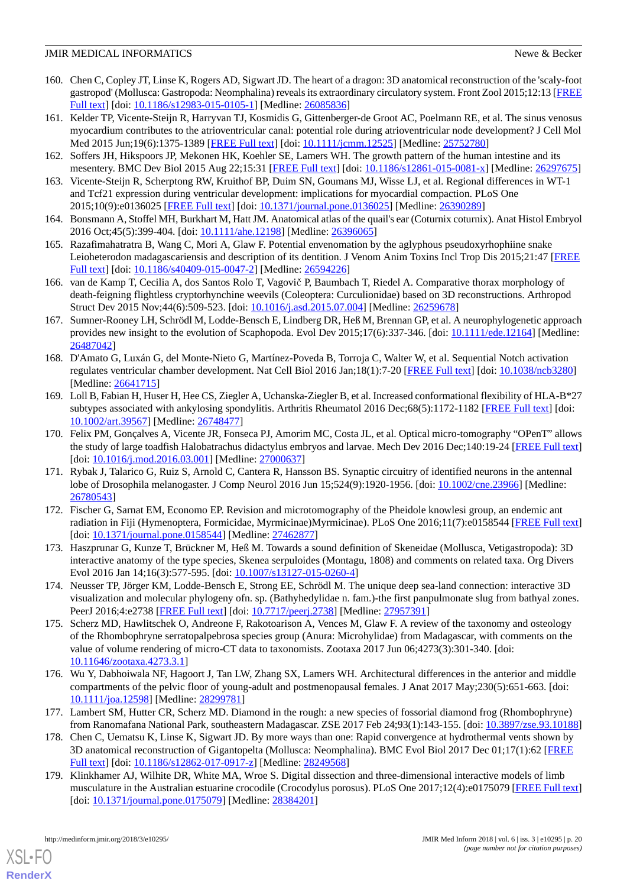- 160. Chen C, Copley JT, Linse K, Rogers AD, Sigwart JD. The heart of a dragon: 3D anatomical reconstruction of the 'scaly-foot gastropod' (Mollusca: Gastropoda: Neomphalina) reveals its extraordinary circulatory system. Front Zool 2015;12:13 [[FREE](https://frontiersinzoology.biomedcentral.com/articles/10.1186/s12983-015-0105-1) [Full text\]](https://frontiersinzoology.biomedcentral.com/articles/10.1186/s12983-015-0105-1) [doi: [10.1186/s12983-015-0105-1](http://dx.doi.org/10.1186/s12983-015-0105-1)] [Medline: [26085836](http://www.ncbi.nlm.nih.gov/entrez/query.fcgi?cmd=Retrieve&db=PubMed&list_uids=26085836&dopt=Abstract)]
- 161. Kelder TP, Vicente-Steijn R, Harryvan TJ, Kosmidis G, Gittenberger-de Groot AC, Poelmann RE, et al. The sinus venosus myocardium contributes to the atrioventricular canal: potential role during atrioventricular node development? J Cell Mol Med 2015 Jun;19(6):1375-1389 [\[FREE Full text](http://dx.doi.org/10.1111/jcmm.12525)] [doi: [10.1111/jcmm.12525](http://dx.doi.org/10.1111/jcmm.12525)] [Medline: [25752780](http://www.ncbi.nlm.nih.gov/entrez/query.fcgi?cmd=Retrieve&db=PubMed&list_uids=25752780&dopt=Abstract)]
- 162. Soffers JH, Hikspoors JP, Mekonen HK, Koehler SE, Lamers WH. The growth pattern of the human intestine and its mesentery. BMC Dev Biol 2015 Aug 22;15:31 [[FREE Full text](https://bmcdevbiol.biomedcentral.com/articles/10.1186/s12861-015-0081-x)] [doi: [10.1186/s12861-015-0081-x\]](http://dx.doi.org/10.1186/s12861-015-0081-x) [Medline: [26297675](http://www.ncbi.nlm.nih.gov/entrez/query.fcgi?cmd=Retrieve&db=PubMed&list_uids=26297675&dopt=Abstract)]
- 163. Vicente-Steijn R, Scherptong RW, Kruithof BP, Duim SN, Goumans MJ, Wisse LJ, et al. Regional differences in WT-1 and Tcf21 expression during ventricular development: implications for myocardial compaction. PLoS One 2015;10(9):e0136025 [\[FREE Full text](http://dx.plos.org/10.1371/journal.pone.0136025)] [doi: [10.1371/journal.pone.0136025\]](http://dx.doi.org/10.1371/journal.pone.0136025) [Medline: [26390289\]](http://www.ncbi.nlm.nih.gov/entrez/query.fcgi?cmd=Retrieve&db=PubMed&list_uids=26390289&dopt=Abstract)
- 164. Bonsmann A, Stoffel MH, Burkhart M, Hatt JM. Anatomical atlas of the quail's ear (Coturnix coturnix). Anat Histol Embryol 2016 Oct;45(5):399-404. [doi: [10.1111/ahe.12198](http://dx.doi.org/10.1111/ahe.12198)] [Medline: [26396065\]](http://www.ncbi.nlm.nih.gov/entrez/query.fcgi?cmd=Retrieve&db=PubMed&list_uids=26396065&dopt=Abstract)
- 165. Razafimahatratra B, Wang C, Mori A, Glaw F. Potential envenomation by the aglyphous pseudoxyrhophiine snake Leioheterodon madagascariensis and description of its dentition. J Venom Anim Toxins Incl Trop Dis 2015;21:47 [\[FREE](https://jvat.biomedcentral.com/articles/10.1186/s40409-015-0047-2) [Full text\]](https://jvat.biomedcentral.com/articles/10.1186/s40409-015-0047-2) [doi: [10.1186/s40409-015-0047-2](http://dx.doi.org/10.1186/s40409-015-0047-2)] [Medline: [26594226](http://www.ncbi.nlm.nih.gov/entrez/query.fcgi?cmd=Retrieve&db=PubMed&list_uids=26594226&dopt=Abstract)]
- 166. van de Kamp T, Cecilia A, dos Santos Rolo T, Vagovič P, Baumbach T, Riedel A. Comparative thorax morphology of death-feigning flightless cryptorhynchine weevils (Coleoptera: Curculionidae) based on 3D reconstructions. Arthropod Struct Dev 2015 Nov;44(6):509-523. [doi: [10.1016/j.asd.2015.07.004\]](http://dx.doi.org/10.1016/j.asd.2015.07.004) [Medline: [26259678](http://www.ncbi.nlm.nih.gov/entrez/query.fcgi?cmd=Retrieve&db=PubMed&list_uids=26259678&dopt=Abstract)]
- 167. Sumner-Rooney LH, Schrödl M, Lodde-Bensch E, Lindberg DR, Heß M, Brennan GP, et al. A neurophylogenetic approach provides new insight to the evolution of Scaphopoda. Evol Dev 2015;17(6):337-346. [doi: [10.1111/ede.12164](http://dx.doi.org/10.1111/ede.12164)] [Medline: [26487042](http://www.ncbi.nlm.nih.gov/entrez/query.fcgi?cmd=Retrieve&db=PubMed&list_uids=26487042&dopt=Abstract)]
- 168. D'Amato G, Luxán G, del Monte-Nieto G, Martínez-Poveda B, Torroja C, Walter W, et al. Sequential Notch activation regulates ventricular chamber development. Nat Cell Biol 2016 Jan;18(1):7-20 [[FREE Full text](http://europepmc.org/abstract/MED/26641715)] [doi: [10.1038/ncb3280](http://dx.doi.org/10.1038/ncb3280)] [Medline: [26641715](http://www.ncbi.nlm.nih.gov/entrez/query.fcgi?cmd=Retrieve&db=PubMed&list_uids=26641715&dopt=Abstract)]
- 169. Loll B, Fabian H, Huser H, Hee CS, Ziegler A, Uchanska-Ziegler B, et al. Increased conformational flexibility of HLA-B\*27 subtypes associated with ankylosing spondylitis. Arthritis Rheumatol 2016 Dec;68(5):1172-1182 [[FREE Full text](http://dx.doi.org/10.1002/art.39567)] [doi: [10.1002/art.39567\]](http://dx.doi.org/10.1002/art.39567) [Medline: [26748477\]](http://www.ncbi.nlm.nih.gov/entrez/query.fcgi?cmd=Retrieve&db=PubMed&list_uids=26748477&dopt=Abstract)
- 170. Felix PM, Gonçalves A, Vicente JR, Fonseca PJ, Amorim MC, Costa JL, et al. Optical micro-tomography "OPenT" allows the study of large toadfish Halobatrachus didactylus embryos and larvae. Mech Dev 2016 Dec;140:19-24 [\[FREE Full text](http://linkinghub.elsevier.com/retrieve/pii/S0925-4773(16)30008-9)] [doi: [10.1016/j.mod.2016.03.001\]](http://dx.doi.org/10.1016/j.mod.2016.03.001) [Medline: [27000637](http://www.ncbi.nlm.nih.gov/entrez/query.fcgi?cmd=Retrieve&db=PubMed&list_uids=27000637&dopt=Abstract)]
- 171. Rybak J, Talarico G, Ruiz S, Arnold C, Cantera R, Hansson BS. Synaptic circuitry of identified neurons in the antennal lobe of Drosophila melanogaster. J Comp Neurol 2016 Jun 15;524(9):1920-1956. [doi: [10.1002/cne.23966\]](http://dx.doi.org/10.1002/cne.23966) [Medline: [26780543](http://www.ncbi.nlm.nih.gov/entrez/query.fcgi?cmd=Retrieve&db=PubMed&list_uids=26780543&dopt=Abstract)]
- 172. Fischer G, Sarnat EM, Economo EP. Revision and microtomography of the Pheidole knowlesi group, an endemic ant radiation in Fiji (Hymenoptera, Formicidae, Myrmicinae)Myrmicinae). PLoS One 2016;11(7):e0158544 [\[FREE Full text](http://dx.plos.org/10.1371/journal.pone.0158544)] [doi: [10.1371/journal.pone.0158544\]](http://dx.doi.org/10.1371/journal.pone.0158544) [Medline: [27462877\]](http://www.ncbi.nlm.nih.gov/entrez/query.fcgi?cmd=Retrieve&db=PubMed&list_uids=27462877&dopt=Abstract)
- 173. Haszprunar G, Kunze T, Brückner M, Heß M. Towards a sound definition of Skeneidae (Mollusca, Vetigastropoda): 3D interactive anatomy of the type species, Skenea serpuloides (Montagu, 1808) and comments on related taxa. Org Divers Evol 2016 Jan 14;16(3):577-595. [doi: [10.1007/s13127-015-0260-4](http://dx.doi.org/10.1007/s13127-015-0260-4)]
- 174. Neusser TP, Jörger KM, Lodde-Bensch E, Strong EE, Schrödl M. The unique deep sea-land connection: interactive 3D visualization and molecular phylogeny ofn. sp. (Bathyhedylidae n. fam.)-the first panpulmonate slug from bathyal zones. PeerJ 2016;4:e2738 [[FREE Full text\]](https://dx.doi.org/10.7717/peerj.2738) [doi: [10.7717/peerj.2738\]](http://dx.doi.org/10.7717/peerj.2738) [Medline: [27957391\]](http://www.ncbi.nlm.nih.gov/entrez/query.fcgi?cmd=Retrieve&db=PubMed&list_uids=27957391&dopt=Abstract)
- 175. Scherz MD, Hawlitschek O, Andreone F, Rakotoarison A, Vences M, Glaw F. A review of the taxonomy and osteology of the Rhombophryne serratopalpebrosa species group (Anura: Microhylidae) from Madagascar, with comments on the value of volume rendering of micro-CT data to taxonomists. Zootaxa 2017 Jun 06;4273(3):301-340. [doi: [10.11646/zootaxa.4273.3.1](http://dx.doi.org/10.11646/zootaxa.4273.3.1)]
- 176. Wu Y, Dabhoiwala NF, Hagoort J, Tan LW, Zhang SX, Lamers WH. Architectural differences in the anterior and middle compartments of the pelvic floor of young-adult and postmenopausal females. J Anat 2017 May;230(5):651-663. [doi: [10.1111/joa.12598\]](http://dx.doi.org/10.1111/joa.12598) [Medline: [28299781](http://www.ncbi.nlm.nih.gov/entrez/query.fcgi?cmd=Retrieve&db=PubMed&list_uids=28299781&dopt=Abstract)]
- 177. Lambert SM, Hutter CR, Scherz MD. Diamond in the rough: a new species of fossorial diamond frog (Rhombophryne) from Ranomafana National Park, southeastern Madagascar. ZSE 2017 Feb 24;93(1):143-155. [doi: [10.3897/zse.93.10188](http://dx.doi.org/10.3897/zse.93.10188)]
- 178. Chen C, Uematsu K, Linse K, Sigwart JD. By more ways than one: Rapid convergence at hydrothermal vents shown by 3D anatomical reconstruction of Gigantopelta (Mollusca: Neomphalina). BMC Evol Biol 2017 Dec 01;17(1):62 [\[FREE](https://bmcevolbiol.biomedcentral.com/articles/10.1186/s12862-017-0917-z) [Full text\]](https://bmcevolbiol.biomedcentral.com/articles/10.1186/s12862-017-0917-z) [doi: [10.1186/s12862-017-0917-z\]](http://dx.doi.org/10.1186/s12862-017-0917-z) [Medline: [28249568\]](http://www.ncbi.nlm.nih.gov/entrez/query.fcgi?cmd=Retrieve&db=PubMed&list_uids=28249568&dopt=Abstract)
- 179. Klinkhamer AJ, Wilhite DR, White MA, Wroe S. Digital dissection and three-dimensional interactive models of limb musculature in the Australian estuarine crocodile (Crocodylus porosus). PLoS One 2017;12(4):e0175079 [[FREE Full text](http://dx.plos.org/10.1371/journal.pone.0175079)] [doi: [10.1371/journal.pone.0175079\]](http://dx.doi.org/10.1371/journal.pone.0175079) [Medline: [28384201\]](http://www.ncbi.nlm.nih.gov/entrez/query.fcgi?cmd=Retrieve&db=PubMed&list_uids=28384201&dopt=Abstract)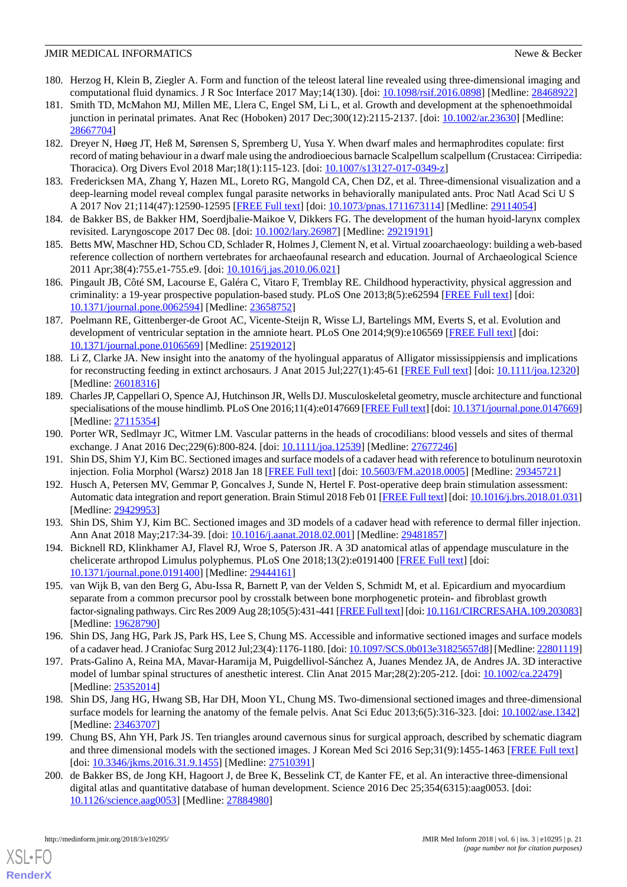- 180. Herzog H, Klein B, Ziegler A. Form and function of the teleost lateral line revealed using three-dimensional imaging and computational fluid dynamics. J R Soc Interface 2017 May;14(130). [doi: [10.1098/rsif.2016.0898](http://dx.doi.org/10.1098/rsif.2016.0898)] [Medline: [28468922\]](http://www.ncbi.nlm.nih.gov/entrez/query.fcgi?cmd=Retrieve&db=PubMed&list_uids=28468922&dopt=Abstract)
- 181. Smith TD, McMahon MJ, Millen ME, Llera C, Engel SM, Li L, et al. Growth and development at the sphenoethmoidal junction in perinatal primates. Anat Rec (Hoboken) 2017 Dec;300(12):2115-2137. [doi: [10.1002/ar.23630](http://dx.doi.org/10.1002/ar.23630)] [Medline: [28667704](http://www.ncbi.nlm.nih.gov/entrez/query.fcgi?cmd=Retrieve&db=PubMed&list_uids=28667704&dopt=Abstract)]
- 182. Dreyer N, Høeg JT, Heß M, Sørensen S, Spremberg U, Yusa Y. When dwarf males and hermaphrodites copulate: first record of mating behaviour in a dwarf male using the androdioecious barnacle Scalpellum scalpellum (Crustacea: Cirripedia: Thoracica). Org Divers Evol 2018 Mar;18(1):115-123. [doi: [10.1007/s13127-017-0349-z](http://dx.doi.org/10.1007/s13127-017-0349-z)]
- 183. Fredericksen MA, Zhang Y, Hazen ML, Loreto RG, Mangold CA, Chen DZ, et al. Three-dimensional visualization and a deep-learning model reveal complex fungal parasite networks in behaviorally manipulated ants. Proc Natl Acad Sci U S A 2017 Nov 21;114(47):12590-12595 [[FREE Full text](http://www.pnas.org/cgi/pmidlookup?view=long&pmid=29114054)] [doi: [10.1073/pnas.1711673114](http://dx.doi.org/10.1073/pnas.1711673114)] [Medline: [29114054](http://www.ncbi.nlm.nih.gov/entrez/query.fcgi?cmd=Retrieve&db=PubMed&list_uids=29114054&dopt=Abstract)]
- 184. de Bakker BS, de Bakker HM, Soerdjbalie-Maikoe V, Dikkers FG. The development of the human hyoid-larynx complex revisited. Laryngoscope 2017 Dec 08. [doi: [10.1002/lary.26987](http://dx.doi.org/10.1002/lary.26987)] [Medline: [29219191\]](http://www.ncbi.nlm.nih.gov/entrez/query.fcgi?cmd=Retrieve&db=PubMed&list_uids=29219191&dopt=Abstract)
- 185. Betts MW, Maschner HD, Schou CD, Schlader R, Holmes J, Clement N, et al. Virtual zooarchaeology: building a web-based reference collection of northern vertebrates for archaeofaunal research and education. Journal of Archaeological Science 2011 Apr;38(4):755.e1-755.e9. [doi: [10.1016/j.jas.2010.06.021\]](http://dx.doi.org/10.1016/j.jas.2010.06.021)
- 186. Pingault JB, Côté SM, Lacourse E, Galéra C, Vitaro F, Tremblay RE. Childhood hyperactivity, physical aggression and criminality: a 19-year prospective population-based study. PLoS One 2013;8(5):e62594 [[FREE Full text](http://dx.plos.org/10.1371/journal.pone.0062594)] [doi: [10.1371/journal.pone.0062594\]](http://dx.doi.org/10.1371/journal.pone.0062594) [Medline: [23658752](http://www.ncbi.nlm.nih.gov/entrez/query.fcgi?cmd=Retrieve&db=PubMed&list_uids=23658752&dopt=Abstract)]
- 187. Poelmann RE, Gittenberger-de Groot AC, Vicente-Steijn R, Wisse LJ, Bartelings MM, Everts S, et al. Evolution and development of ventricular septation in the amniote heart. PLoS One 2014;9(9):e106569 [\[FREE Full text\]](http://dx.plos.org/10.1371/journal.pone.0106569) [doi: [10.1371/journal.pone.0106569\]](http://dx.doi.org/10.1371/journal.pone.0106569) [Medline: [25192012](http://www.ncbi.nlm.nih.gov/entrez/query.fcgi?cmd=Retrieve&db=PubMed&list_uids=25192012&dopt=Abstract)]
- 188. Li Z, Clarke JA. New insight into the anatomy of the hyolingual apparatus of Alligator mississippiensis and implications for reconstructing feeding in extinct archosaurs. J Anat 2015 Jul;227(1):45-61 [\[FREE Full text\]](http://dx.doi.org/10.1111/joa.12320) [doi: [10.1111/joa.12320](http://dx.doi.org/10.1111/joa.12320)] [Medline: [26018316](http://www.ncbi.nlm.nih.gov/entrez/query.fcgi?cmd=Retrieve&db=PubMed&list_uids=26018316&dopt=Abstract)]
- 189. Charles JP, Cappellari O, Spence AJ, Hutchinson JR, Wells DJ. Musculoskeletal geometry, muscle architecture and functional specialisations of the mouse hindlimb. PLoS One 2016;11(4):e0147669 [[FREE Full text](http://dx.plos.org/10.1371/journal.pone.0147669)] [doi: [10.1371/journal.pone.0147669\]](http://dx.doi.org/10.1371/journal.pone.0147669) [Medline: [27115354](http://www.ncbi.nlm.nih.gov/entrez/query.fcgi?cmd=Retrieve&db=PubMed&list_uids=27115354&dopt=Abstract)]
- <span id="page-20-2"></span>190. Porter WR, Sedlmayr JC, Witmer LM. Vascular patterns in the heads of crocodilians: blood vessels and sites of thermal exchange. J Anat 2016 Dec; 229(6): 800-824. [doi: [10.1111/joa.12539](http://dx.doi.org/10.1111/joa.12539)] [Medline: [27677246\]](http://www.ncbi.nlm.nih.gov/entrez/query.fcgi?cmd=Retrieve&db=PubMed&list_uids=27677246&dopt=Abstract)
- 191. Shin DS, Shim YJ, Kim BC. Sectioned images and surface models of a cadaver head with reference to botulinum neurotoxin injection. Folia Morphol (Warsz) 2018 Jan 18 [[FREE Full text](http://dx.doi.org/10.5603/FM.a2018.0005)] [doi: [10.5603/FM.a2018.0005\]](http://dx.doi.org/10.5603/FM.a2018.0005) [Medline: [29345721\]](http://www.ncbi.nlm.nih.gov/entrez/query.fcgi?cmd=Retrieve&db=PubMed&list_uids=29345721&dopt=Abstract)
- 192. Husch A, Petersen MV, Gemmar P, Goncalves J, Sunde N, Hertel F. Post-operative deep brain stimulation assessment: Automatic data integration and report generation. Brain Stimul 2018 Feb 01 [\[FREE Full text](https://linkinghub.elsevier.com/retrieve/pii/S1935-861X(18)30060-3)] [doi: [10.1016/j.brs.2018.01.031](http://dx.doi.org/10.1016/j.brs.2018.01.031)] [Medline: [29429953](http://www.ncbi.nlm.nih.gov/entrez/query.fcgi?cmd=Retrieve&db=PubMed&list_uids=29429953&dopt=Abstract)]
- <span id="page-20-0"></span>193. Shin DS, Shim YJ, Kim BC. Sectioned images and 3D models of a cadaver head with reference to dermal filler injection. Ann Anat 2018 May; 217: 34-39. [doi: 10.1016/j.aanat. 2018. 02. 001] [Medline: [29481857](http://www.ncbi.nlm.nih.gov/entrez/query.fcgi?cmd=Retrieve&db=PubMed&list_uids=29481857&dopt=Abstract)]
- 194. Bicknell RD, Klinkhamer AJ, Flavel RJ, Wroe S, Paterson JR. A 3D anatomical atlas of appendage musculature in the chelicerate arthropod Limulus polyphemus. PLoS One 2018;13(2):e0191400 [[FREE Full text](http://dx.plos.org/10.1371/journal.pone.0191400)] [doi: [10.1371/journal.pone.0191400\]](http://dx.doi.org/10.1371/journal.pone.0191400) [Medline: [29444161](http://www.ncbi.nlm.nih.gov/entrez/query.fcgi?cmd=Retrieve&db=PubMed&list_uids=29444161&dopt=Abstract)]
- <span id="page-20-3"></span><span id="page-20-1"></span>195. van Wijk B, van den Berg G, Abu-Issa R, Barnett P, van der Velden S, Schmidt M, et al. Epicardium and myocardium separate from a common precursor pool by crosstalk between bone morphogenetic protein- and fibroblast growth factor-signaling pathways. Circ Res 2009 Aug 28;105(5):431-441 [[FREE Full text](http://circres.ahajournals.org/cgi/pmidlookup?view=long&pmid=19628790)] [doi: [10.1161/CIRCRESAHA.109.203083\]](http://dx.doi.org/10.1161/CIRCRESAHA.109.203083) [Medline: [19628790](http://www.ncbi.nlm.nih.gov/entrez/query.fcgi?cmd=Retrieve&db=PubMed&list_uids=19628790&dopt=Abstract)]
- <span id="page-20-4"></span>196. Shin DS, Jang HG, Park JS, Park HS, Lee S, Chung MS. Accessible and informative sectioned images and surface models of a cadaver head. J Craniofac Surg 2012 Jul;23(4):1176-1180. [doi: [10.1097/SCS.0b013e31825657d8](http://dx.doi.org/10.1097/SCS.0b013e31825657d8)] [Medline: [22801119\]](http://www.ncbi.nlm.nih.gov/entrez/query.fcgi?cmd=Retrieve&db=PubMed&list_uids=22801119&dopt=Abstract)
- <span id="page-20-5"></span>197. Prats-Galino A, Reina MA, Mavar-Haramija M, Puigdellivol-Sánchez A, Juanes Mendez JA, de Andres JA. 3D interactive model of lumbar spinal structures of anesthetic interest. Clin Anat 2015 Mar;28(2):205-212. [doi: [10.1002/ca.22479\]](http://dx.doi.org/10.1002/ca.22479) [Medline: [25352014](http://www.ncbi.nlm.nih.gov/entrez/query.fcgi?cmd=Retrieve&db=PubMed&list_uids=25352014&dopt=Abstract)]
- <span id="page-20-6"></span>198. Shin DS, Jang HG, Hwang SB, Har DH, Moon YL, Chung MS. Two-dimensional sectioned images and three-dimensional surface models for learning the anatomy of the female pelvis. Anat Sci Educ 2013;6(5):316-323. [doi: [10.1002/ase.1342](http://dx.doi.org/10.1002/ase.1342)] [Medline: [23463707](http://www.ncbi.nlm.nih.gov/entrez/query.fcgi?cmd=Retrieve&db=PubMed&list_uids=23463707&dopt=Abstract)]
- 199. Chung BS, Ahn YH, Park JS. Ten triangles around cavernous sinus for surgical approach, described by schematic diagram and three dimensional models with the sectioned images. J Korean Med Sci 2016 Sep;31(9):1455-1463 [\[FREE Full text\]](https://jkms.org/DOIx.php?id=10.3346/jkms.2016.31.9.1455) [doi: [10.3346/jkms.2016.31.9.1455\]](http://dx.doi.org/10.3346/jkms.2016.31.9.1455) [Medline: [27510391](http://www.ncbi.nlm.nih.gov/entrez/query.fcgi?cmd=Retrieve&db=PubMed&list_uids=27510391&dopt=Abstract)]
- 200. de Bakker BS, de Jong KH, Hagoort J, de Bree K, Besselink CT, de Kanter FE, et al. An interactive three-dimensional digital atlas and quantitative database of human development. Science 2016 Dec 25;354(6315):aag0053. [doi: [10.1126/science.aag0053\]](http://dx.doi.org/10.1126/science.aag0053) [Medline: [27884980](http://www.ncbi.nlm.nih.gov/entrez/query.fcgi?cmd=Retrieve&db=PubMed&list_uids=27884980&dopt=Abstract)]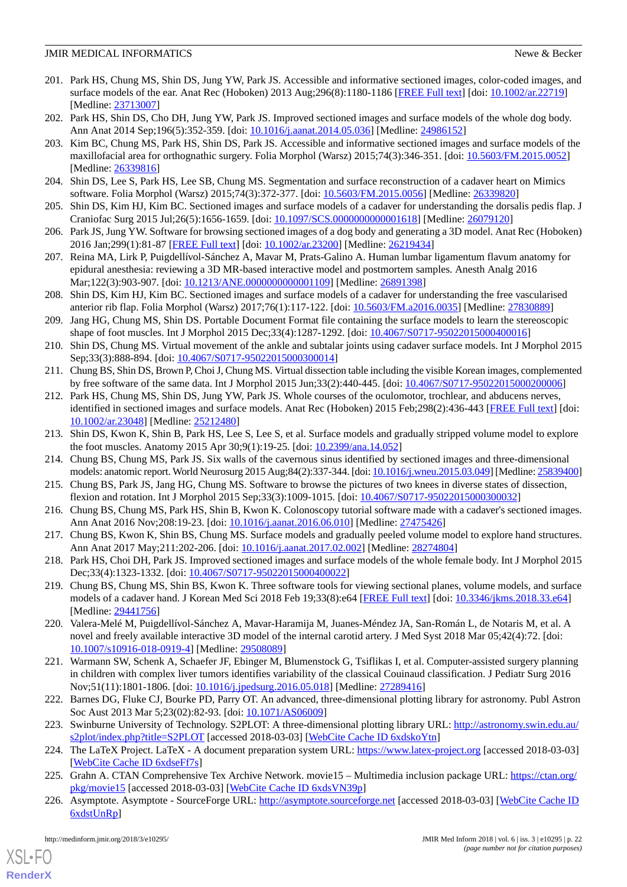- 201. Park HS, Chung MS, Shin DS, Jung YW, Park JS. Accessible and informative sectioned images, color-coded images, and surface models of the ear. Anat Rec (Hoboken) 2013 Aug;296(8):1180-1186 [\[FREE Full text\]](http://dx.doi.org/10.1002/ar.22719) [doi: [10.1002/ar.22719\]](http://dx.doi.org/10.1002/ar.22719) [Medline: [23713007](http://www.ncbi.nlm.nih.gov/entrez/query.fcgi?cmd=Retrieve&db=PubMed&list_uids=23713007&dopt=Abstract)]
- 202. Park HS, Shin DS, Cho DH, Jung YW, Park JS. Improved sectioned images and surface models of the whole dog body. Ann Anat 2014 Sep;196(5):352-359. [doi: [10.1016/j.aanat.2014.05.036\]](http://dx.doi.org/10.1016/j.aanat.2014.05.036) [Medline: [24986152\]](http://www.ncbi.nlm.nih.gov/entrez/query.fcgi?cmd=Retrieve&db=PubMed&list_uids=24986152&dopt=Abstract)
- 203. Kim BC, Chung MS, Park HS, Shin DS, Park JS. Accessible and informative sectioned images and surface models of the maxillofacial area for orthognathic surgery. Folia Morphol (Warsz) 2015;74(3):346-351. [doi: [10.5603/FM.2015.0052](http://dx.doi.org/10.5603/FM.2015.0052)] [Medline: [26339816](http://www.ncbi.nlm.nih.gov/entrez/query.fcgi?cmd=Retrieve&db=PubMed&list_uids=26339816&dopt=Abstract)]
- 204. Shin DS, Lee S, Park HS, Lee SB, Chung MS. Segmentation and surface reconstruction of a cadaver heart on Mimics software. Folia Morphol (Warsz) 2015;74(3):372-377. [doi: [10.5603/FM.2015.0056\]](http://dx.doi.org/10.5603/FM.2015.0056) [Medline: [26339820\]](http://www.ncbi.nlm.nih.gov/entrez/query.fcgi?cmd=Retrieve&db=PubMed&list_uids=26339820&dopt=Abstract)
- 205. Shin DS, Kim HJ, Kim BC. Sectioned images and surface models of a cadaver for understanding the dorsalis pedis flap. J Craniofac Surg 2015 Jul;26(5):1656-1659. [doi: [10.1097/SCS.0000000000001618](http://dx.doi.org/10.1097/SCS.0000000000001618)] [Medline: [26079120](http://www.ncbi.nlm.nih.gov/entrez/query.fcgi?cmd=Retrieve&db=PubMed&list_uids=26079120&dopt=Abstract)]
- 206. Park JS, Jung YW. Software for browsing sectioned images of a dog body and generating a 3D model. Anat Rec (Hoboken) 2016 Jan;299(1):81-87 [[FREE Full text](http://dx.doi.org/10.1002/ar.23200)] [doi: [10.1002/ar.23200](http://dx.doi.org/10.1002/ar.23200)] [Medline: [26219434](http://www.ncbi.nlm.nih.gov/entrez/query.fcgi?cmd=Retrieve&db=PubMed&list_uids=26219434&dopt=Abstract)]
- 207. Reina MA, Lirk P, Puigdellívol-Sánchez A, Mavar M, Prats-Galino A. Human lumbar ligamentum flavum anatomy for epidural anesthesia: reviewing a 3D MR-based interactive model and postmortem samples. Anesth Analg 2016 Mar;122(3):903-907. [doi: [10.1213/ANE.0000000000001109\]](http://dx.doi.org/10.1213/ANE.0000000000001109) [Medline: [26891398](http://www.ncbi.nlm.nih.gov/entrez/query.fcgi?cmd=Retrieve&db=PubMed&list_uids=26891398&dopt=Abstract)]
- 208. Shin DS, Kim HJ, Kim BC. Sectioned images and surface models of a cadaver for understanding the free vascularised anterior rib flap. Folia Morphol (Warsz) 2017;76(1):117-122. [doi: [10.5603/FM.a2016.0035\]](http://dx.doi.org/10.5603/FM.a2016.0035) [Medline: [27830889](http://www.ncbi.nlm.nih.gov/entrez/query.fcgi?cmd=Retrieve&db=PubMed&list_uids=27830889&dopt=Abstract)]
- 209. Jang HG, Chung MS, Shin DS. Portable Document Format file containing the surface models to learn the stereoscopic shape of foot muscles. Int J Morphol 2015 Dec;33(4):1287-1292. [doi: [10.4067/S0717-95022015000400016\]](http://dx.doi.org/10.4067/S0717-95022015000400016)
- 210. Shin DS, Chung MS. Virtual movement of the ankle and subtalar joints using cadaver surface models. Int J Morphol 2015 Sep;33(3):888-894. [doi: [10.4067/S0717-95022015000300014\]](http://dx.doi.org/10.4067/S0717-95022015000300014)
- 211. Chung BS, Shin DS, Brown P, Choi J, Chung MS. Virtual dissection table including the visible Korean images, complemented by free software of the same data. Int J Morphol 2015 Jun;33(2):440-445. [doi: [10.4067/S0717-95022015000200006](http://dx.doi.org/10.4067/S0717-95022015000200006)]
- 212. Park HS, Chung MS, Shin DS, Jung YW, Park JS. Whole courses of the oculomotor, trochlear, and abducens nerves, identified in sectioned images and surface models. Anat Rec (Hoboken) 2015 Feb;298(2):436-443 [\[FREE Full text\]](http://dx.doi.org/10.1002/ar.23048) [doi: [10.1002/ar.23048](http://dx.doi.org/10.1002/ar.23048)] [Medline: [25212480](http://www.ncbi.nlm.nih.gov/entrez/query.fcgi?cmd=Retrieve&db=PubMed&list_uids=25212480&dopt=Abstract)]
- 213. Shin DS, Kwon K, Shin B, Park HS, Lee S, Lee S, et al. Surface models and gradually stripped volume model to explore the foot muscles. Anatomy 2015 Apr 30;9(1):19-25. [doi: [10.2399/ana.14.052](http://dx.doi.org/10.2399/ana.14.052)]
- 214. Chung BS, Chung MS, Park JS. Six walls of the cavernous sinus identified by sectioned images and three-dimensional models: anatomic report. World Neurosurg 2015 Aug;84(2):337-344. [doi: [10.1016/j.wneu.2015.03.049](http://dx.doi.org/10.1016/j.wneu.2015.03.049)] [Medline: [25839400\]](http://www.ncbi.nlm.nih.gov/entrez/query.fcgi?cmd=Retrieve&db=PubMed&list_uids=25839400&dopt=Abstract)
- 215. Chung BS, Park JS, Jang HG, Chung MS. Software to browse the pictures of two knees in diverse states of dissection, flexion and rotation. Int J Morphol 2015 Sep;33(3):1009-1015. [doi: [10.4067/S0717-95022015000300032](http://dx.doi.org/10.4067/S0717-95022015000300032)]
- 216. Chung BS, Chung MS, Park HS, Shin B, Kwon K. Colonoscopy tutorial software made with a cadaver's sectioned images. Ann Anat 2016 Nov; 208:19-23. [doi: 10.1016/j.aanat. 2016.06.010] [Medline: [27475426\]](http://www.ncbi.nlm.nih.gov/entrez/query.fcgi?cmd=Retrieve&db=PubMed&list_uids=27475426&dopt=Abstract)
- 217. Chung BS, Kwon K, Shin BS, Chung MS. Surface models and gradually peeled volume model to explore hand structures. Ann Anat 2017 May; 211: 202-206. [doi: 10.1016/j.aanat. 2017. 02. 002] [Medline: [28274804](http://www.ncbi.nlm.nih.gov/entrez/query.fcgi?cmd=Retrieve&db=PubMed&list_uids=28274804&dopt=Abstract)]
- <span id="page-21-0"></span>218. Park HS, Choi DH, Park JS. Improved sectioned images and surface models of the whole female body. Int J Morphol 2015 Dec;33(4):1323-1332. [doi: [10.4067/S0717-95022015000400022\]](http://dx.doi.org/10.4067/S0717-95022015000400022)
- <span id="page-21-1"></span>219. Chung BS, Chung MS, Shin BS, Kwon K. Three software tools for viewing sectional planes, volume models, and surface models of a cadaver hand. J Korean Med Sci 2018 Feb 19;33(8):e64 [[FREE Full text](https://jkms.org/DOIx.php?id=10.3346/jkms.2018.33.e64)] [doi: [10.3346/jkms.2018.33.e64](http://dx.doi.org/10.3346/jkms.2018.33.e64)] [Medline: [29441756](http://www.ncbi.nlm.nih.gov/entrez/query.fcgi?cmd=Retrieve&db=PubMed&list_uids=29441756&dopt=Abstract)]
- <span id="page-21-2"></span>220. Valera-Melé M, Puigdellívol-Sánchez A, Mavar-Haramija M, Juanes-Méndez JA, San-Román L, de Notaris M, et al. A novel and freely available interactive 3D model of the internal carotid artery. J Med Syst 2018 Mar 05;42(4):72. [doi: [10.1007/s10916-018-0919-4\]](http://dx.doi.org/10.1007/s10916-018-0919-4) [Medline: [29508089](http://www.ncbi.nlm.nih.gov/entrez/query.fcgi?cmd=Retrieve&db=PubMed&list_uids=29508089&dopt=Abstract)]
- <span id="page-21-4"></span><span id="page-21-3"></span>221. Warmann SW, Schenk A, Schaefer JF, Ebinger M, Blumenstock G, Tsiflikas I, et al. Computer-assisted surgery planning in children with complex liver tumors identifies variability of the classical Couinaud classification. J Pediatr Surg 2016 Nov;51(11):1801-1806. [doi: [10.1016/j.jpedsurg.2016.05.018\]](http://dx.doi.org/10.1016/j.jpedsurg.2016.05.018) [Medline: [27289416\]](http://www.ncbi.nlm.nih.gov/entrez/query.fcgi?cmd=Retrieve&db=PubMed&list_uids=27289416&dopt=Abstract)
- <span id="page-21-5"></span>222. Barnes DG, Fluke CJ, Bourke PD, Parry OT. An advanced, three-dimensional plotting library for astronomy. Publ Astron Soc Aust 2013 Mar 5;23(02):82-93. [doi: [10.1071/AS06009](http://dx.doi.org/10.1071/AS06009)]
- <span id="page-21-6"></span>223. Swinburne University of Technology. S2PLOT: A three-dimensional plotting library URL: [http://astronomy.swin.edu.au/](http://astronomy.swin.edu.au/s2plot/index.php?title=S2PLOT) [s2plot/index.php?title=S2PLOT](http://astronomy.swin.edu.au/s2plot/index.php?title=S2PLOT) [accessed 2018-03-03] [\[WebCite Cache ID 6xdskoYtn\]](http://www.webcitation.org/

                                6xdskoYtn)
- 224. The LaTeX Project. LaTeX A document preparation system URL:<https://www.latex-project.org> [accessed 2018-03-03] [[WebCite Cache ID 6xdseFf7s\]](http://www.webcitation.org/

                                6xdseFf7s)
- 225. Grahn A. CTAN Comprehensive Tex Archive Network. movie15 Multimedia inclusion package URL: [https://ctan.org/](https://ctan.org/pkg/movie15) [pkg/movie15](https://ctan.org/pkg/movie15) [accessed 2018-03-03] [\[WebCite Cache ID 6xdsVN39p](http://www.webcitation.org/

                                6xdsVN39p)]
- 226. Asymptote. Asymptote SourceForge URL:<http://asymptote.sourceforge.net> [accessed 2018-03-03] [[WebCite Cache ID](http://www.webcitation.org/

                 6xdstUnRp) [6xdstUnRp](http://www.webcitation.org/

                                6xdstUnRp)]

 $XS$  • FO **[RenderX](http://www.renderx.com/)**